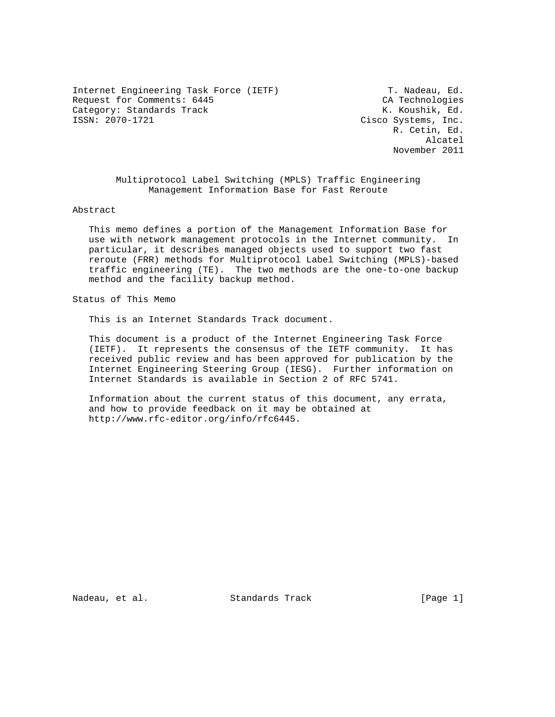Internet Engineering Task Force (IETF) T. Nadeau, Ed. Request for Comments: 6445 CA Technologies Category: Standards Track K. Koushik, Ed.<br>1990-1721 Cisco Systems, Inc.

Cisco Systems, Inc. R. Cetin, Ed. Alcatel November 2011

> Multiprotocol Label Switching (MPLS) Traffic Engineering Management Information Base for Fast Reroute

Abstract

 This memo defines a portion of the Management Information Base for use with network management protocols in the Internet community. In particular, it describes managed objects used to support two fast reroute (FRR) methods for Multiprotocol Label Switching (MPLS)-based traffic engineering (TE). The two methods are the one-to-one backup method and the facility backup method.

Status of This Memo

This is an Internet Standards Track document.

 This document is a product of the Internet Engineering Task Force (IETF). It represents the consensus of the IETF community. It has received public review and has been approved for publication by the Internet Engineering Steering Group (IESG). Further information on Internet Standards is available in Section 2 of RFC 5741.

 Information about the current status of this document, any errata, and how to provide feedback on it may be obtained at http://www.rfc-editor.org/info/rfc6445.

Nadeau, et al. Standards Track [Page 1]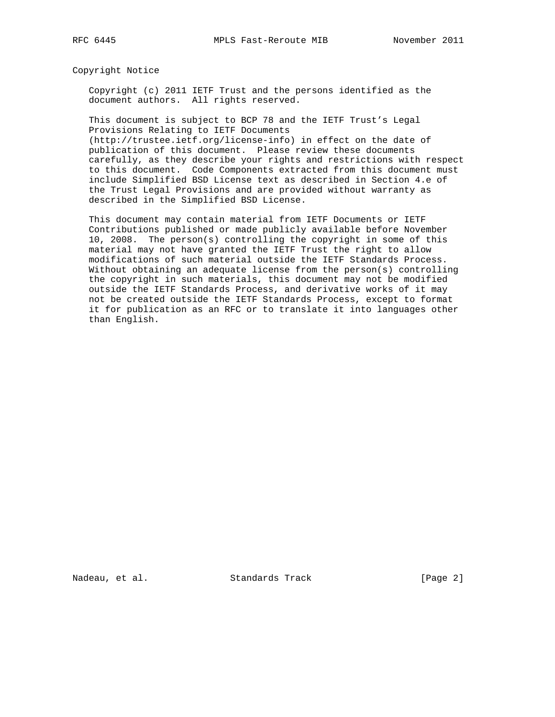Copyright Notice

 Copyright (c) 2011 IETF Trust and the persons identified as the document authors. All rights reserved.

 This document is subject to BCP 78 and the IETF Trust's Legal Provisions Relating to IETF Documents

 (http://trustee.ietf.org/license-info) in effect on the date of publication of this document. Please review these documents carefully, as they describe your rights and restrictions with respect to this document. Code Components extracted from this document must include Simplified BSD License text as described in Section 4.e of the Trust Legal Provisions and are provided without warranty as described in the Simplified BSD License.

 This document may contain material from IETF Documents or IETF Contributions published or made publicly available before November 10, 2008. The person(s) controlling the copyright in some of this material may not have granted the IETF Trust the right to allow modifications of such material outside the IETF Standards Process. Without obtaining an adequate license from the person(s) controlling the copyright in such materials, this document may not be modified outside the IETF Standards Process, and derivative works of it may not be created outside the IETF Standards Process, except to format it for publication as an RFC or to translate it into languages other than English.

Nadeau, et al. Standards Track [Page 2]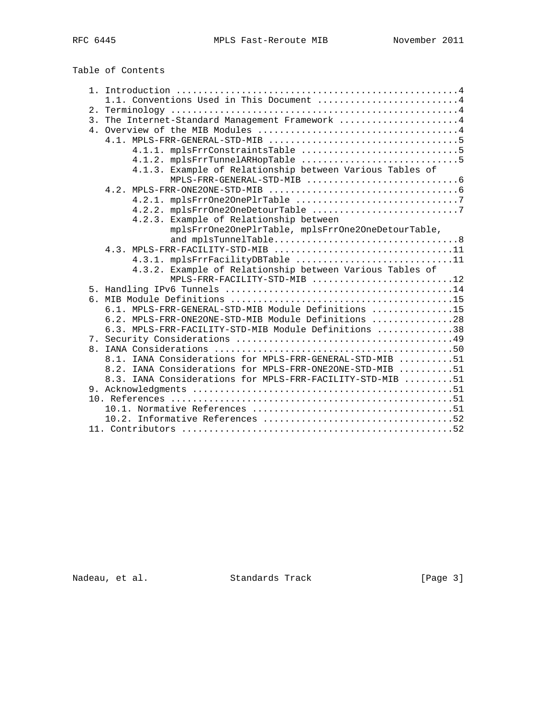Table of Contents

|  | 1.1. Conventions Used in This Document 4                                                                       |
|--|----------------------------------------------------------------------------------------------------------------|
|  |                                                                                                                |
|  | 3. The Internet-Standard Management Framework 4                                                                |
|  |                                                                                                                |
|  | $4.1.$ MPLS-FRR-GENERAL-STD-MIB $\ldots \ldots \ldots \ldots \ldots \ldots \ldots \ldots \ldots \ldots \ldots$ |
|  |                                                                                                                |
|  |                                                                                                                |
|  | 4.1.3. Example of Relationship between Various Tables of                                                       |
|  | $MPLS-FRR-GENERAL-STD-MIB$ 6                                                                                   |
|  |                                                                                                                |
|  |                                                                                                                |
|  |                                                                                                                |
|  | 4.2.3. Example of Relationship between                                                                         |
|  | mplsFrrOne2OnePlrTable, mplsFrrOne2OneDetourTable,                                                             |
|  |                                                                                                                |
|  | 4.3. MPLS-FRR-FACILITY-STD-MIB 11                                                                              |
|  | 4.3.1. mplsFrrFacilityDBTable 11                                                                               |
|  | 4.3.2. Example of Relationship between Various Tables of                                                       |
|  | MPLS-FRR-FACILITY-STD-MIB 12                                                                                   |
|  |                                                                                                                |
|  |                                                                                                                |
|  | 6.1. MPLS-FRR-GENERAL-STD-MIB Module Definitions 15                                                            |
|  | 6.2. MPLS-FRR-ONE2ONE-STD-MIB Module Definitions 28                                                            |
|  | 6.3. MPLS-FRR-FACILITY-STD-MIB Module Definitions 38                                                           |
|  |                                                                                                                |
|  |                                                                                                                |
|  | 8.1. IANA Considerations for MPLS-FRR-GENERAL-STD-MIB 51                                                       |
|  | 8.2. IANA Considerations for MPLS-FRR-ONE2ONE-STD-MIB 51                                                       |
|  | 8.3. IANA Considerations for MPLS-FRR-FACILITY-STD-MIB 51                                                      |
|  |                                                                                                                |
|  |                                                                                                                |
|  |                                                                                                                |
|  |                                                                                                                |
|  |                                                                                                                |
|  |                                                                                                                |

Nadeau, et al. Standards Track [Page 3]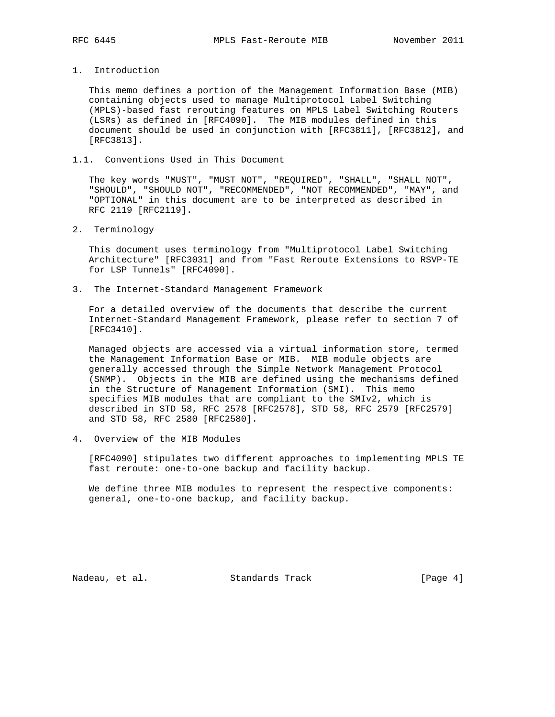1. Introduction

 This memo defines a portion of the Management Information Base (MIB) containing objects used to manage Multiprotocol Label Switching (MPLS)-based fast rerouting features on MPLS Label Switching Routers (LSRs) as defined in [RFC4090]. The MIB modules defined in this document should be used in conjunction with [RFC3811], [RFC3812], and [RFC3813].

## 1.1. Conventions Used in This Document

 The key words "MUST", "MUST NOT", "REQUIRED", "SHALL", "SHALL NOT", "SHOULD", "SHOULD NOT", "RECOMMENDED", "NOT RECOMMENDED", "MAY", and "OPTIONAL" in this document are to be interpreted as described in RFC 2119 [RFC2119].

2. Terminology

 This document uses terminology from "Multiprotocol Label Switching Architecture" [RFC3031] and from "Fast Reroute Extensions to RSVP-TE for LSP Tunnels" [RFC4090].

3. The Internet-Standard Management Framework

 For a detailed overview of the documents that describe the current Internet-Standard Management Framework, please refer to section 7 of [RFC3410].

 Managed objects are accessed via a virtual information store, termed the Management Information Base or MIB. MIB module objects are generally accessed through the Simple Network Management Protocol (SNMP). Objects in the MIB are defined using the mechanisms defined in the Structure of Management Information (SMI). This memo specifies MIB modules that are compliant to the SMIv2, which is described in STD 58, RFC 2578 [RFC2578], STD 58, RFC 2579 [RFC2579] and STD 58, RFC 2580 [RFC2580].

4. Overview of the MIB Modules

 [RFC4090] stipulates two different approaches to implementing MPLS TE fast reroute: one-to-one backup and facility backup.

 We define three MIB modules to represent the respective components: general, one-to-one backup, and facility backup.

Nadeau, et al. Standards Track [Page 4]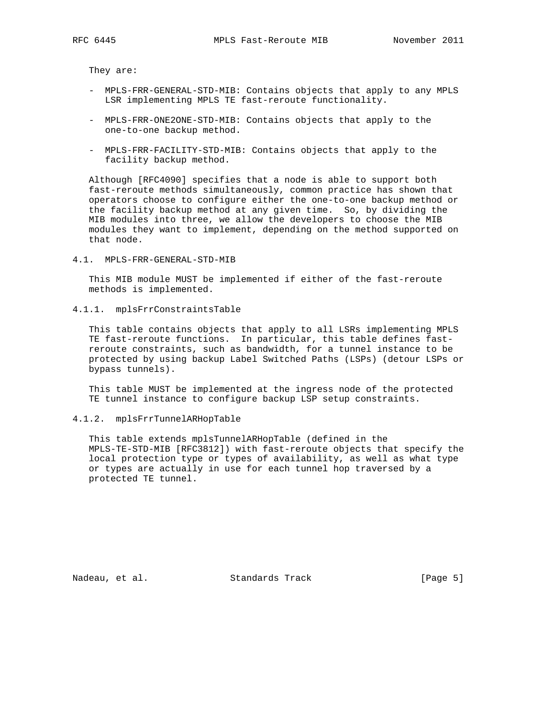They are:

- MPLS-FRR-GENERAL-STD-MIB: Contains objects that apply to any MPLS LSR implementing MPLS TE fast-reroute functionality.
- MPLS-FRR-ONE2ONE-STD-MIB: Contains objects that apply to the one-to-one backup method.
- MPLS-FRR-FACILITY-STD-MIB: Contains objects that apply to the facility backup method.

 Although [RFC4090] specifies that a node is able to support both fast-reroute methods simultaneously, common practice has shown that operators choose to configure either the one-to-one backup method or the facility backup method at any given time. So, by dividing the MIB modules into three, we allow the developers to choose the MIB modules they want to implement, depending on the method supported on that node.

4.1. MPLS-FRR-GENERAL-STD-MIB

 This MIB module MUST be implemented if either of the fast-reroute methods is implemented.

4.1.1. mplsFrrConstraintsTable

 This table contains objects that apply to all LSRs implementing MPLS TE fast-reroute functions. In particular, this table defines fast reroute constraints, such as bandwidth, for a tunnel instance to be protected by using backup Label Switched Paths (LSPs) (detour LSPs or bypass tunnels).

 This table MUST be implemented at the ingress node of the protected TE tunnel instance to configure backup LSP setup constraints.

### 4.1.2. mplsFrrTunnelARHopTable

 This table extends mplsTunnelARHopTable (defined in the MPLS-TE-STD-MIB [RFC3812]) with fast-reroute objects that specify the local protection type or types of availability, as well as what type or types are actually in use for each tunnel hop traversed by a protected TE tunnel.

Nadeau, et al. Standards Track [Page 5]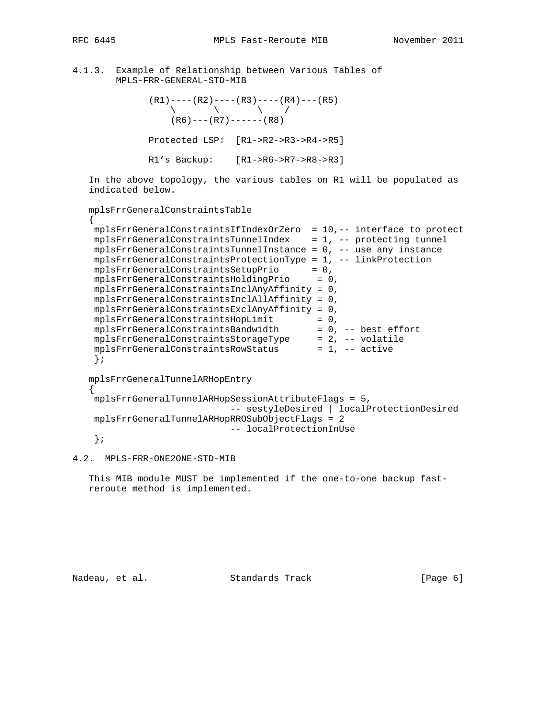{

{

# 4.1.3. Example of Relationship between Various Tables of MPLS-FRR-GENERAL-STD-MIB

 $(R1)---(R2)---(R3)---(R4)---(R5)$  $\qquad \qquad \backslash$   $\qquad \qquad \backslash$   $\qquad \qquad \backslash$   $\qquad \qquad \backslash$  $(R6)$  --- $(R7)$  ------(R8) Protected LSP: [R1->R2->R3->R4->R5] R1's Backup: [R1->R6->R7->R8->R3]

 In the above topology, the various tables on R1 will be populated as indicated below.

```
 mplsFrrGeneralConstraintsTable
```

| mplsFrrGeneralConstraintsIfIndexOrZero<br>$= 10, --$ interface to protect |
|---------------------------------------------------------------------------|
|                                                                           |
| mplsFrrGeneralConstraintsTunnelIndex<br>= 1, -- protecting tunnel         |
| mplsFrrGeneralConstraintsTunnelInstance<br>$= 0$ , $-$ use any instance   |
| mplsFrrGeneralConstraintsProtectionType<br>$= 1$ , $-$ linkProtection     |
| mplsFrrGeneralConstraintsSetupPrio<br>$= 0.$                              |
| mplsFrrGeneralConstraintsHoldingPrio<br>$= 0.$                            |
| $mplsFrrGeneralConstraintsInclAnyAffinity = 0,$                           |
| $mplsFrrGeneralConstraintsInc1AllAffinity = 0,$                           |
| $mplsFrrGeneralConstraints ExclAnyAffinity = 0$ ,                         |
| mplsFrrGeneralConstraintsHopLimit<br>$= 0.$                               |
| mplsFrrGeneralConstraintsBandwidth<br>$= 0$ , $-$ best effort             |
| mplsFrrGeneralConstraintsStorageType<br>$= 2.$ -- volatile                |
| mplsFrrGeneralConstraintsRowStatus<br>$= 1$ , $-$ active                  |
|                                                                           |

```
 mplsFrrGeneralTunnelARHopEntry
```

```
 mplsFrrGeneralTunnelARHopSessionAttributeFlags = 5,
                          -- sestyleDesired | localProtectionDesired
 mplsFrrGeneralTunnelARHopRROSubObjectFlags = 2
                           -- localProtectionInUse
 };
```

```
4.2. MPLS-FRR-ONE2ONE-STD-MIB
```
 This MIB module MUST be implemented if the one-to-one backup fast reroute method is implemented.

Nadeau, et al. Standards Track [Page 6]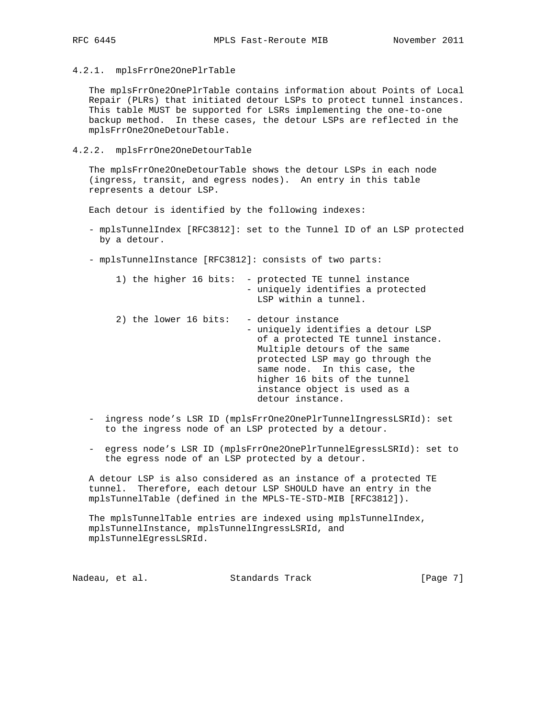4.2.1. mplsFrrOne2OnePlrTable

 The mplsFrrOne2OnePlrTable contains information about Points of Local Repair (PLRs) that initiated detour LSPs to protect tunnel instances. This table MUST be supported for LSRs implementing the one-to-one backup method. In these cases, the detour LSPs are reflected in the mplsFrrOne2OneDetourTable.

4.2.2. mplsFrrOne2OneDetourTable

 The mplsFrrOne2OneDetourTable shows the detour LSPs in each node (ingress, transit, and egress nodes). An entry in this table represents a detour LSP.

Each detour is identified by the following indexes:

- mplsTunnelIndex [RFC3812]: set to the Tunnel ID of an LSP protected by a detour.
- mplsTunnelInstance [RFC3812]: consists of two parts:

| 1) the higher 16 bits: | - protected TE tunnel instance<br>- uniquely identifies a protected<br>LSP within a tunnel.                                                                                                                                                                                           |
|------------------------|---------------------------------------------------------------------------------------------------------------------------------------------------------------------------------------------------------------------------------------------------------------------------------------|
| 2) the lower 16 bits:  | - detour instance<br>- uniquely identifies a detour LSP<br>of a protected TE tunnel instance.<br>Multiple detours of the same<br>protected LSP may go through the<br>same node. In this case, the<br>higher 16 bits of the tunnel<br>instance object is used as a<br>detour instance. |

- ingress node's LSR ID (mplsFrrOne2OnePlrTunnelIngressLSRId): set to the ingress node of an LSP protected by a detour.
- egress node's LSR ID (mplsFrrOne2OnePlrTunnelEgressLSRId): set to the egress node of an LSP protected by a detour.

 A detour LSP is also considered as an instance of a protected TE tunnel. Therefore, each detour LSP SHOULD have an entry in the mplsTunnelTable (defined in the MPLS-TE-STD-MIB [RFC3812]).

 The mplsTunnelTable entries are indexed using mplsTunnelIndex, mplsTunnelInstance, mplsTunnelIngressLSRId, and mplsTunnelEgressLSRId.

Nadeau, et al. Standards Track [Page 7]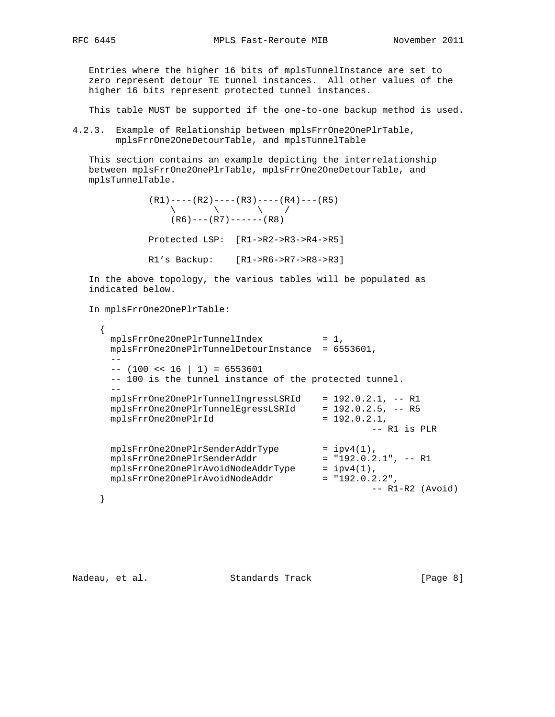Entries where the higher 16 bits of mplsTunnelInstance are set to zero represent detour TE tunnel instances. All other values of the higher 16 bits represent protected tunnel instances.

This table MUST be supported if the one-to-one backup method is used.

4.2.3. Example of Relationship between mplsFrrOne2OnePlrTable, mplsFrrOne2OneDetourTable, and mplsTunnelTable

 This section contains an example depicting the interrelationship between mplsFrrOne2OnePlrTable, mplsFrrOne2OneDetourTable, and mplsTunnelTable.

```
(R1) ---- (R2) ---- (R3) ---- (R4) --- (R5)\begin{pmatrix} \ddots & \ddots & \ddots & \ddots & \ 0 & \ddots & \ddots & \ddots & \end{pmatrix}(R6) ---(R7) ------(R8) Protected LSP: [R1->R2->R3->R4->R5]
 R1's Backup: [R1->R6->R7->R8->R3]
```
 In the above topology, the various tables will be populated as indicated below.

In mplsFrrOne2OnePlrTable:

```
 {
      mplsFrrOne2OnePlrTunnelIndex = 1,
      mplsFrrOne2OnePlrTunnelDetourInstance = 6553601,
     - --- (100 \lt t 16 | 1) = 6553601 -- 100 is the tunnel instance of the protected tunnel.
     - mplsFrrOne2OnePlrTunnelIngressLSRId = 192.0.2.1, -- R1
 mplsFrrOne2OnePlrTunnelEgressLSRId = 192.0.2.5, -- R5
mplsFrrOne2OnePlrId = 192.0.2.1,
                                            -- R1 is PLR
mplsFrrOne2OnePlrSenderAddrType = ipv4(1),
 mplsFrrOne2OnePlrSenderAddr = "192.0.2.1", -- R1
 mplsFrrOne2OnePlrAvoidNodeAddrType = ipv4(1),
 mplsFrrOne2OnePlrAvoidNodeAddr = "192.0.2.2",
 -- R1-R2 (Avoid)
    }
```
Nadeau, et al. Standards Track [Page 8]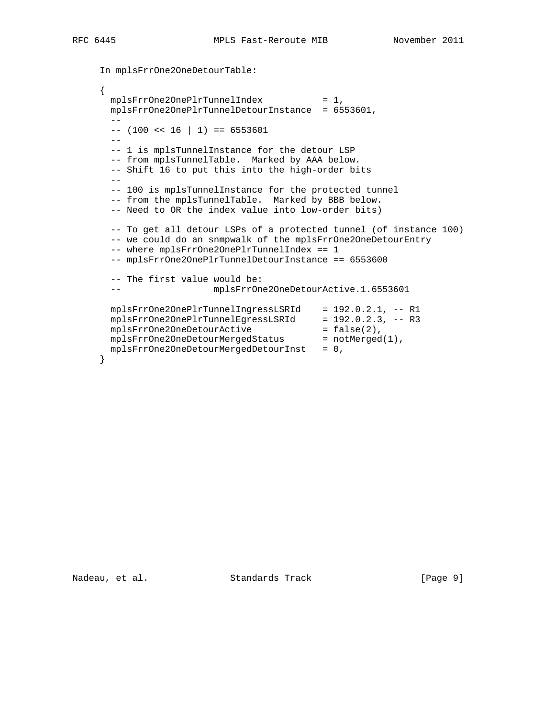```
 In mplsFrrOne2OneDetourTable:
     {
      mplsFrrOne2OnePlrTunnelIndex = 1,
       mplsFrrOne2OnePlrTunnelDetourInstance = 6553601,
      - --- (100 << 16 | 1) == 6553601
      - - -- 1 is mplsTunnelInstance for the detour LSP
       -- from mplsTunnelTable. Marked by AAA below.
       -- Shift 16 to put this into the high-order bits
       --
       -- 100 is mplsTunnelInstance for the protected tunnel
      -- from the mplsTunnelTable. Marked by BBB below.
       -- Need to OR the index value into low-order bits)
       -- To get all detour LSPs of a protected tunnel (of instance 100)
       -- we could do an snmpwalk of the mplsFrrOne2OneDetourEntry
       -- where mplsFrrOne2OnePlrTunnelIndex == 1
       -- mplsFrrOne2OnePlrTunnelDetourInstance == 6553600
       -- The first value would be:
       -- mplsFrrOne2OneDetourActive.1.6553601
 mplsFrrOne2OnePlrTunnelIngressLSRId = 192.0.2.1, -- R1
 mplsFrrOne2OnePlrTunnelEgressLSRId = 192.0.2.3, -- R3
mplsFrrOne2OneDetourActive = false(2),
mplsFrrOne2OneDetourMergedStatus = notMerged(1),
      mplsFrrOne2OneDetourMergedbetourInst = 0, }
```
Nadeau, et al. Standards Track [Page 9]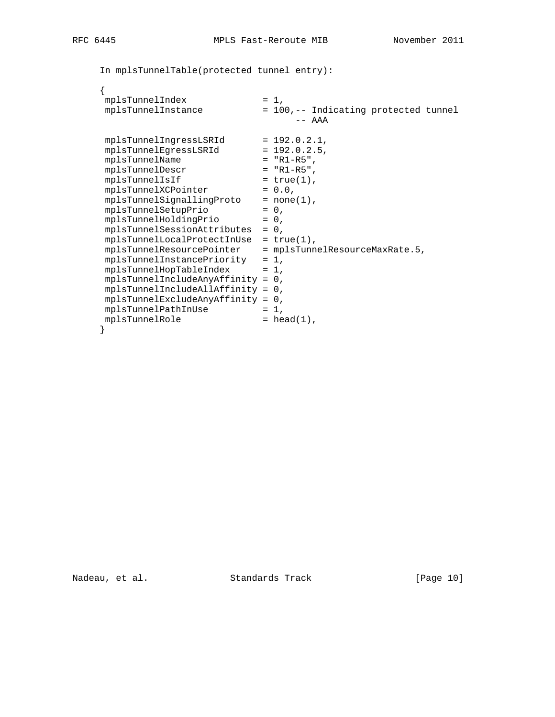```
 In mplsTunnelTable(protected tunnel entry):
```

```
 {
mplsTunnelIndex = 1,
 mplsTunnelInstance = 100,-- Indicating protected tunnel
                               -- AAA
 mplsTunnelIngressLSRId = 192.0.2.1,
mplsTunnelEgressLSRId = 192.0.2.5, mplsTunnelName = "R1-R5",
 mplsTunnelDescr = "R1-R5",
mplsTunnelISIf = true(1),
mplsTunnelXCPointer = 0.0,
mplsTunnelSignallingProto = none(1),
mplsTunnelSetupPrio = 0,
mplsTunnelHoldingPrio = 0,
     mplsTunnelSessionAttributes = 0,
    mplsTunnelLocalProtectInUse = true(1),
     mplsTunnelResourcePointer = mplsTunnelResourceMaxRate.5,
     mplsTunnelInstancePriority = 1,
    mplsTunnelHopTableIndex = 1, mplsTunnelIncludeAnyAffinity = 0,
     mplsTunnelIncludeAllAffinity = 0,
     mplsTunnelExcludeAnyAffinity = 0,
mplsTunnelPathInUse = 1,
mplsTunnelRole = head(1),
    }
```
Nadeau, et al. Standards Track [Page 10]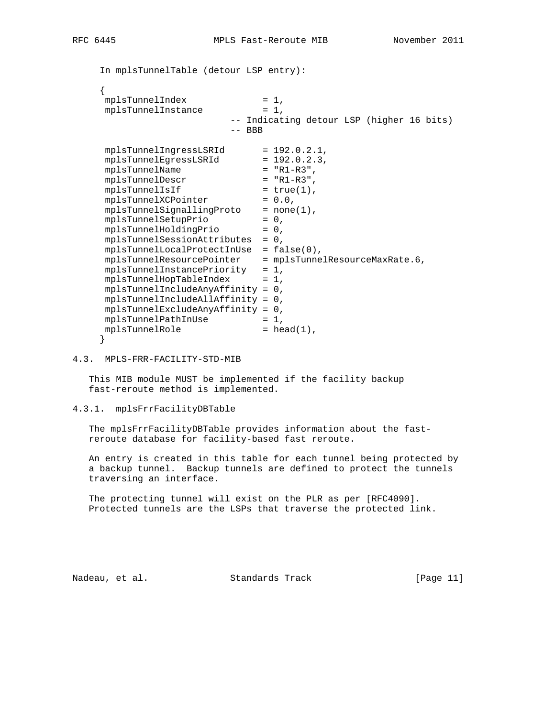In mplsTunnelTable (detour LSP entry):

```
\left\{\begin{array}{ccc} \end{array}\right\}mplsTunnelIndex = 1,
    mplsTunnelInstance = 1, -- Indicating detour LSP (higher 16 bits)
                        -- BBB
mplsTunnelIngressLSRId = 192.0.2.1,
mplsTunnelEgressLSRId = 192.0.2.3,
 mplsTunnelName = "R1-R3",
 mplsTunnelDescr = "R1-R3",
mplsTunnelISIf = true(1),
mplsTunnelXCPointer = 0.0,
mplsTunnelSignallingProto = none(1),
mplsTunnelSetupPrio = 0,
mplsTunnelHoldingPrio = 0,
     mplsTunnelSessionAttributes = 0,
     mplsTunnelLocalProtectInUse = false(0),
     mplsTunnelResourcePointer = mplsTunnelResourceMaxRate.6,
     mplsTunnelInstancePriority = 1,
    mplsTunnelHopTableIndex = 1,
     mplsTunnelIncludeAnyAffinity = 0,
     mplsTunnelIncludeAllAffinity = 0,
     mplsTunnelExcludeAnyAffinity = 0,
mplsTunnelPathInUse = 1,
mplsTunnelRole = head(1),
     }
```
4.3. MPLS-FRR-FACILITY-STD-MIB

 This MIB module MUST be implemented if the facility backup fast-reroute method is implemented.

4.3.1. mplsFrrFacilityDBTable

 The mplsFrrFacilityDBTable provides information about the fast reroute database for facility-based fast reroute.

 An entry is created in this table for each tunnel being protected by a backup tunnel. Backup tunnels are defined to protect the tunnels traversing an interface.

 The protecting tunnel will exist on the PLR as per [RFC4090]. Protected tunnels are the LSPs that traverse the protected link.

Nadeau, et al. Standards Track [Page 11]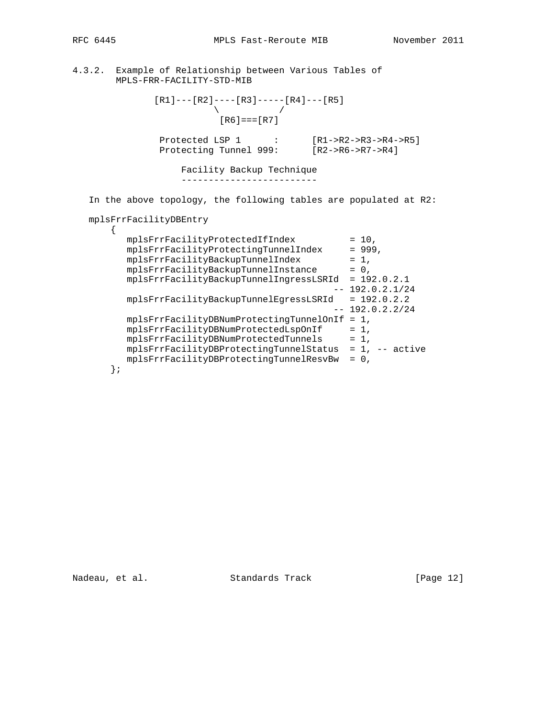RFC 6445 MPLS Fast-Reroute MIB November 2011

4.3.2. Example of Relationship between Various Tables of MPLS-FRR-FACILITY-STD-MIB

 $[R1]---[R2]---[R3]---[R4]---[R5]$  $\sqrt{2}$  /  $\sqrt{2}$  /  $\sqrt{2}$  /  $\sqrt{2}$  /  $\sqrt{2}$  /  $\sqrt{2}$  /  $\sqrt{2}$  /  $\sqrt{2}$  /  $\sqrt{2}$  /  $\sqrt{2}$  /  $\sqrt{2}$  /  $\sqrt{2}$  /  $\sqrt{2}$  /  $\sqrt{2}$  /  $\sqrt{2}$  /  $\sqrt{2}$  /  $\sqrt{2}$  /  $\sqrt{2}$  /  $\sqrt{2}$  /  $\sqrt{2}$  /  $\sqrt{2}$  /  $\sqrt{2}$  /  $[R6] == [R7]$ 

 Protected LSP 1 : [R1->R2->R3->R4->R5] Protecting Tunnel 999: [R2->R6->R7->R4]

> Facility Backup Technique -------------------------

In the above topology, the following tables are populated at R2:

mplsFrrFacilityDBEntry

|  | mplsFrrFacilityProtectedIfIndex          | $= 10.$            |
|--|------------------------------------------|--------------------|
|  | mplsFrrFacilityProtectingTunnelIndex     | $= 999.$           |
|  | mplsFrrFacilityBackupTunnelIndex         | $= 1.$             |
|  | mplsFrrFacilityBackupTunnelInstance      | $= 0.$             |
|  | mplsFrrFacilityBackupTunnelIngressLSRId  | $= 192.0.2.1$      |
|  |                                          | $-- 192.0.2.1/24$  |
|  | mplsFrrFacilityBackupTunnelEqressLSRId   | $= 192.0.2.2$      |
|  |                                          | 192.0.2.2/24       |
|  | mplsFrrFacilityDBNumProtectingTunnelOnIf | $= 1$ .            |
|  | mplsFrrFacilityDBNumProtectedLspOnIf     | $= 1.$             |
|  | mplsFrrFacilityDBNumProtectedTunnels     | $= 1$ .            |
|  | mplsFrrFacilityDBProtectingTunnelStatus  | $= 1$ , $-$ active |
|  | mplsFrrFacilityDBProtectingTunnelResvBw  | $= 0.$             |
|  |                                          |                    |

Nadeau, et al. Standards Track [Page 12]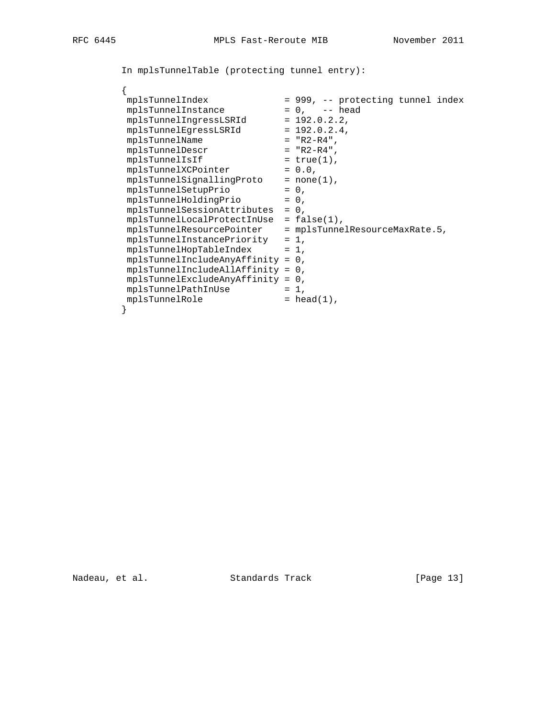In mplsTunnelTable (protecting tunnel entry):

# {

| mplsTunnelIndex                                            | = 999, -- protecting tunnel index |
|------------------------------------------------------------|-----------------------------------|
| mplsTunnelInstance                                         | $= 0$ , $= -$ head                |
| mplsTunnelIngressLSRId                                     | $= 192.0.2.2$                     |
| mplsTunnelEqressLSRId                                      | $= 192.0.2.4$                     |
| mplsTunnelName                                             | $= "R2-R4",$                      |
| mplsTunnelDescr                                            | $= "R2-R4".$                      |
| mplsTunnelIsIf                                             | $= true(1)$ ,                     |
| mplsTunnelXCPointer                                        | $= 0.0,$                          |
| mplsTunnelSignallingProto                                  | $= none(1)$ ,                     |
| mplsTunnelSetupPrio                                        | $= 0.$                            |
| mplsTunnelHoldingPrio                                      | $= 0$ ,                           |
| mplsTunnelSessionAttributes                                | $= 0$ ,                           |
| $mplsTunnelLocalProtectInUse = false(1)$ ,                 |                                   |
| $mplsTunnelResourcePointer = mplsTunnelResourceMaxRate.5,$ |                                   |
| $mplsTunnelInstancePriority = 1,$                          |                                   |
| $mplsTunnelHopTableIndex = 1,$                             |                                   |
| $mplsTunnelIncludeAnyAffinity = 0,$                        |                                   |
| $mplsTunnelIncludeAllAffinity = 0,$                        |                                   |
| $mplsTunnelExcludeAnyAffinity = 0,$                        |                                   |
| mplsTunnelPathInUse                                        | $= 1$ ,                           |
| mplsTunnelRole                                             | $= head(1)$ ,                     |
|                                                            |                                   |

Nadeau, et al. Standards Track [Page 13]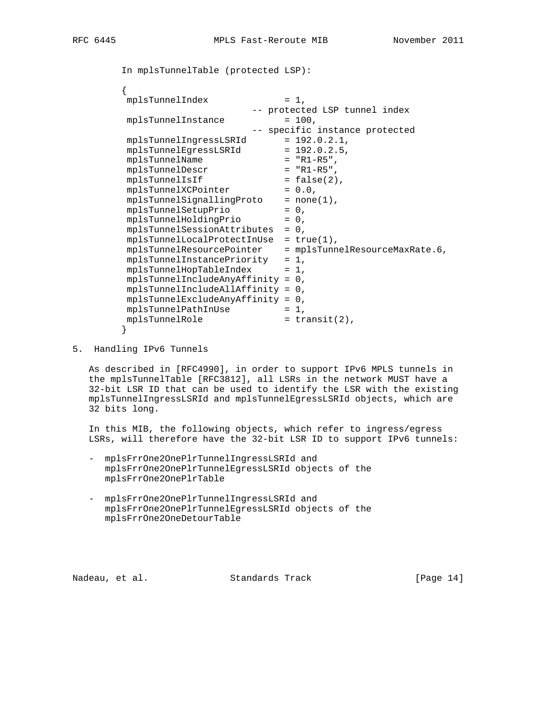```
 In mplsTunnelTable (protected LSP):
\{mplsTunnelIndex = 1,
                         -- protected LSP tunnel index
       mplsTunnelInstance = 100, -- specific instance protected
mplsTunnelIngressLSRId = 192.0.2.1,
mplsTunnelEgressLSRId = 192.0.2.5,
 mplsTunnelName = "R1-R5",
 mplsTunnelDescr = "R1-R5",
mplsTunnelISIf = false(2),
mplsTunnelXCPointer = 0.0,
mplsTunnelSignallingProto = none(1),
mplsTunnelSetupPrio = 0,
mplsTunnelHoldingPrio = 0,
        mplsTunnelSessionAttributes = 0,
       mplsTunnelLocalProtectInUse = true(1),
        mplsTunnelResourcePointer = mplsTunnelResourceMaxRate.6,
        mplsTunnelInstancePriority = 1,
       mplsTunnelHopTableIndex = 1, mplsTunnelIncludeAnyAffinity = 0,
        mplsTunnelIncludeAllAffinity = 0,
        mplsTunnelExcludeAnyAffinity = 0,
mplsTunnelPathInUse = 1,
mplsTunnelRole = transit(2),
 }
```
5. Handling IPv6 Tunnels

 As described in [RFC4990], in order to support IPv6 MPLS tunnels in the mplsTunnelTable [RFC3812], all LSRs in the network MUST have a 32-bit LSR ID that can be used to identify the LSR with the existing mplsTunnelIngressLSRId and mplsTunnelEgressLSRId objects, which are 32 bits long.

 In this MIB, the following objects, which refer to ingress/egress LSRs, will therefore have the 32-bit LSR ID to support IPv6 tunnels:

- mplsFrrOne2OnePlrTunnelIngressLSRId and mplsFrrOne2OnePlrTunnelEgressLSRId objects of the mplsFrrOne2OnePlrTable
- mplsFrrOne2OnePlrTunnelIngressLSRId and mplsFrrOne2OnePlrTunnelEgressLSRId objects of the mplsFrrOne2OneDetourTable

Nadeau, et al. Standards Track [Page 14]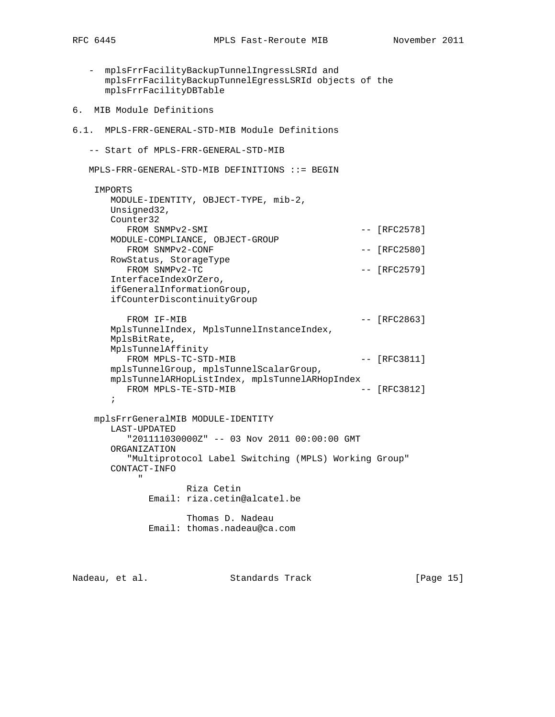- mplsFrrFacilityBackupTunnelIngressLSRId and mplsFrrFacilityBackupTunnelEgressLSRId objects of the mplsFrrFacilityDBTable 6. MIB Module Definitions 6.1. MPLS-FRR-GENERAL-STD-MIB Module Definitions -- Start of MPLS-FRR-GENERAL-STD-MIB MPLS-FRR-GENERAL-STD-MIB DEFINITIONS ::= BEGIN IMPORTS MODULE-IDENTITY, OBJECT-TYPE, mib-2, Unsigned32, Counter32 FROM SNMPv2-SMI  $-$  [RFC2578] MODULE-COMPLIANCE, OBJECT-GROUP FROM SNMPv2-CONF  $---$  [RFC2580] RowStatus, StorageType FROM SNMPv2-TC  $-$  [RFC2579] InterfaceIndexOrZero, ifGeneralInformationGroup, ifCounterDiscontinuityGroup FROM IF-MIB  $-$  [RFC2863] MplsTunnelIndex, MplsTunnelInstanceIndex, MplsBitRate, MplsTunnelAffinity FROM MPLS-TC-STD-MIB -- [RFC3811] mplsTunnelGroup, mplsTunnelScalarGroup, mplsTunnelARHopListIndex, mplsTunnelARHopIndex FROM MPLS-TE-STD-MIB  $---$  [RFC3812] ; mplsFrrGeneralMIB MODULE-IDENTITY LAST-UPDATED "201111030000Z" -- 03 Nov 2011 00:00:00 GMT ORGANIZATION "Multiprotocol Label Switching (MPLS) Working Group" CONTACT-INFO " "The Contract of the Contract of the Contract of the Contract of the Contract of the Contract of the Contract of the Contract of the Contract of the Contract of the Contract of the Contract of the Contract of the Contrac

 Riza Cetin Email: riza.cetin@alcatel.be

 Thomas D. Nadeau Email: thomas.nadeau@ca.com

Nadeau, et al. Standards Track [Page 15]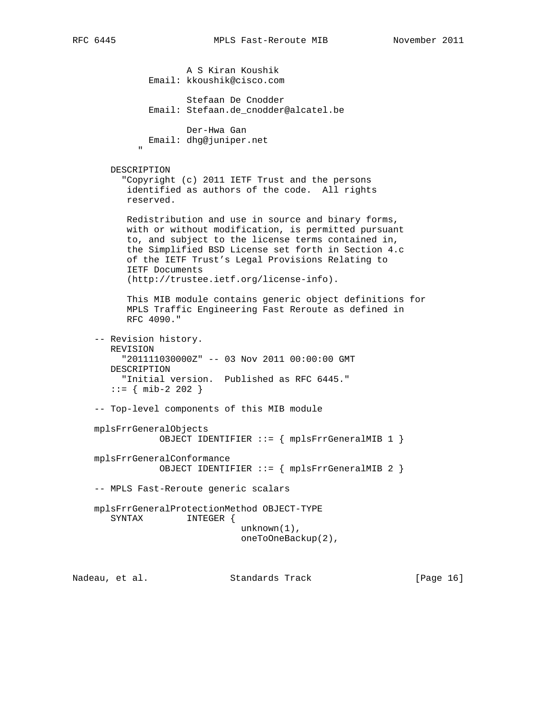A S Kiran Koushik Email: kkoushik@cisco.com Stefaan De Cnodder Email: Stefaan.de\_cnodder@alcatel.be Der-Hwa Gan Email: dhg@juniper.net " "The Contract of the Contract of the Contract of the Contract of the Contract of the Contract of the Contract of the Contract of the Contract of the Contract of the Contract of the Contract of the Contract of the Contrac DESCRIPTION "Copyright (c) 2011 IETF Trust and the persons identified as authors of the code. All rights reserved. Redistribution and use in source and binary forms, with or without modification, is permitted pursuant to, and subject to the license terms contained in, the Simplified BSD License set forth in Section 4.c of the IETF Trust's Legal Provisions Relating to IETF Documents (http://trustee.ietf.org/license-info). This MIB module contains generic object definitions for MPLS Traffic Engineering Fast Reroute as defined in RFC 4090." -- Revision history. REVISION "201111030000Z" -- 03 Nov 2011 00:00:00 GMT DESCRIPTION "Initial version. Published as RFC 6445."  $::=$  { mib-2 202 } -- Top-level components of this MIB module mplsFrrGeneralObjects OBJECT IDENTIFIER ::= { mplsFrrGeneralMIB 1 } mplsFrrGeneralConformance OBJECT IDENTIFIER ::= { mplsFrrGeneralMIB 2 } -- MPLS Fast-Reroute generic scalars mplsFrrGeneralProtectionMethod OBJECT-TYPE SYNTAX INTEGER { unknown(1), oneToOneBackup(2),

Nadeau, et al. Standards Track [Page 16]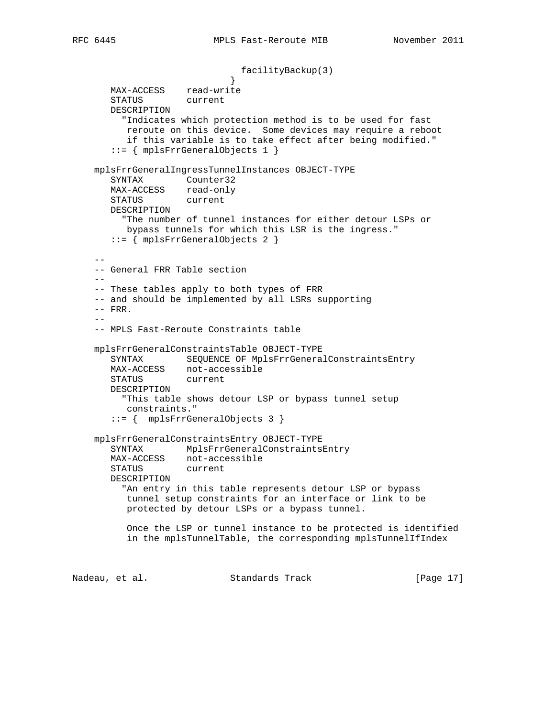```
facilityBackup(3)<br>}
 }
       MAX-ACCESS read-write
       STATUS current
       DESCRIPTION
         "Indicates which protection method is to be used for fast
         reroute on this device. Some devices may require a reboot
          if this variable is to take effect after being modified."
       ::= { mplsFrrGeneralObjects 1 }
    mplsFrrGeneralIngressTunnelInstances OBJECT-TYPE
       SYNTAX Counter32
      MAX-ACCESS read-only
       STATUS current
       DESCRIPTION
         "The number of tunnel instances for either detour LSPs or
         bypass tunnels for which this LSR is the ingress."
       ::= { mplsFrrGeneralObjects 2 }
 --
    -- General FRR Table section
    --
    -- These tables apply to both types of FRR
    -- and should be implemented by all LSRs supporting
   -- FRR.
```
 -- -- MPLS Fast-Reroute Constraints table

```
 mplsFrrGeneralConstraintsTable OBJECT-TYPE
   SYNTAX SEQUENCE OF MplsFrrGeneralConstraintsEntry
   MAX-ACCESS not-accessible
   STATUS current
   DESCRIPTION
     "This table shows detour LSP or bypass tunnel setup
      constraints."
    ::= { mplsFrrGeneralObjects 3 }
```
 mplsFrrGeneralConstraintsEntry OBJECT-TYPE SYNTAX MplsFrrGeneralConstraintsEntry MAX-ACCESS not-accessible STATUS current DESCRIPTION "An entry in this table represents detour LSP or bypass tunnel setup constraints for an interface or link to be protected by detour LSPs or a bypass tunnel.

```
 Once the LSP or tunnel instance to be protected is identified
 in the mplsTunnelTable, the corresponding mplsTunnelIfIndex
```
Nadeau, et al. Standards Track [Page 17]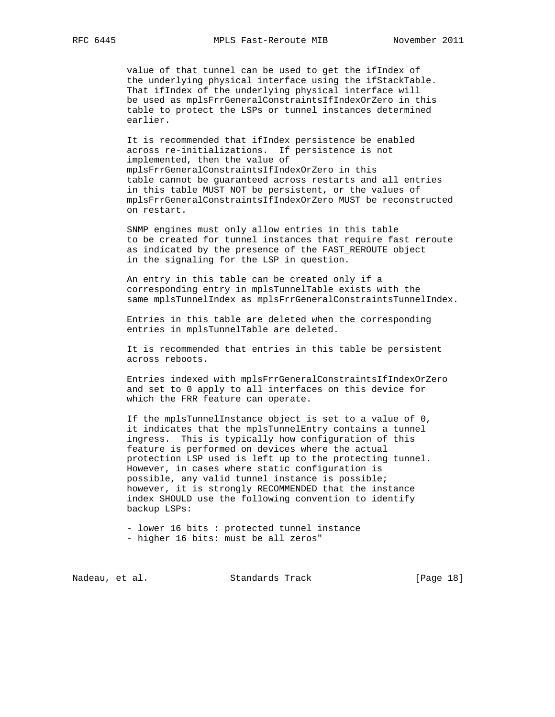value of that tunnel can be used to get the ifIndex of the underlying physical interface using the ifStackTable. That ifIndex of the underlying physical interface will be used as mplsFrrGeneralConstraintsIfIndexOrZero in this table to protect the LSPs or tunnel instances determined earlier.

 It is recommended that ifIndex persistence be enabled across re-initializations. If persistence is not implemented, then the value of mplsFrrGeneralConstraintsIfIndexOrZero in this table cannot be guaranteed across restarts and all entries in this table MUST NOT be persistent, or the values of mplsFrrGeneralConstraintsIfIndexOrZero MUST be reconstructed on restart.

 SNMP engines must only allow entries in this table to be created for tunnel instances that require fast reroute as indicated by the presence of the FAST\_REROUTE object in the signaling for the LSP in question.

 An entry in this table can be created only if a corresponding entry in mplsTunnelTable exists with the same mplsTunnelIndex as mplsFrrGeneralConstraintsTunnelIndex.

 Entries in this table are deleted when the corresponding entries in mplsTunnelTable are deleted.

 It is recommended that entries in this table be persistent across reboots.

 Entries indexed with mplsFrrGeneralConstraintsIfIndexOrZero and set to 0 apply to all interfaces on this device for which the FRR feature can operate.

 If the mplsTunnelInstance object is set to a value of 0, it indicates that the mplsTunnelEntry contains a tunnel ingress. This is typically how configuration of this feature is performed on devices where the actual protection LSP used is left up to the protecting tunnel. However, in cases where static configuration is possible, any valid tunnel instance is possible; however, it is strongly RECOMMENDED that the instance index SHOULD use the following convention to identify backup LSPs:

 - lower 16 bits : protected tunnel instance - higher 16 bits: must be all zeros"

Nadeau, et al. Standards Track [Page 18]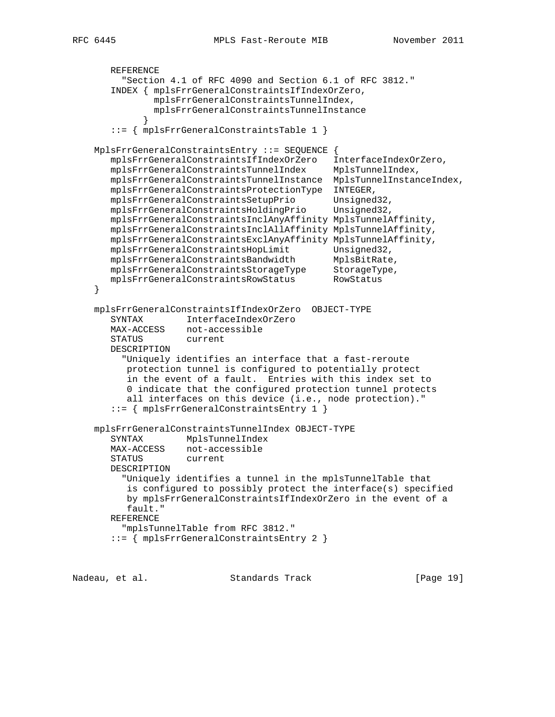```
 REFERENCE
         "Section 4.1 of RFC 4090 and Section 6.1 of RFC 3812."
       INDEX { mplsFrrGeneralConstraintsIfIndexOrZero,
               mplsFrrGeneralConstraintsTunnelIndex,
               mplsFrrGeneralConstraintsTunnelInstance
 }
       ::= { mplsFrrGeneralConstraintsTable 1 }
    MplsFrrGeneralConstraintsEntry ::= SEQUENCE {
       mplsFrrGeneralConstraintsIfIndexOrZero InterfaceIndexOrZero,
       mplsFrrGeneralConstraintsTunnelIndex MplsTunnelIndex,
       mplsFrrGeneralConstraintsTunnelInstance MplsTunnelInstanceIndex,
       mplsFrrGeneralConstraintsProtectionType INTEGER,
 mplsFrrGeneralConstraintsSetupPrio Unsigned32,
 mplsFrrGeneralConstraintsHoldingPrio Unsigned32,
       mplsFrrGeneralConstraintsInclAnyAffinity MplsTunnelAffinity,
       mplsFrrGeneralConstraintsInclAllAffinity MplsTunnelAffinity,
       mplsFrrGeneralConstraintsExclAnyAffinity MplsTunnelAffinity,
      mplsFrrGeneralConstraintsHopLimit Unsigned32,
mplsFrrGeneralConstraintsBandwidth MplsBitRate,
mplsFrrGeneralConstraintsStorageType StorageType,
 mplsFrrGeneralConstraintsRowStatus RowStatus
    }
    mplsFrrGeneralConstraintsIfIndexOrZero OBJECT-TYPE
       SYNTAX InterfaceIndexOrZero
       MAX-ACCESS not-accessible
       STATUS current
       DESCRIPTION
         "Uniquely identifies an interface that a fast-reroute
          protection tunnel is configured to potentially protect
          in the event of a fault. Entries with this index set to
          0 indicate that the configured protection tunnel protects
          all interfaces on this device (i.e., node protection)."
       ::= { mplsFrrGeneralConstraintsEntry 1 }
    mplsFrrGeneralConstraintsTunnelIndex OBJECT-TYPE
       SYNTAX MplsTunnelIndex
       MAX-ACCESS not-accessible
       STATUS current
       DESCRIPTION
         "Uniquely identifies a tunnel in the mplsTunnelTable that
          is configured to possibly protect the interface(s) specified
          by mplsFrrGeneralConstraintsIfIndexOrZero in the event of a
          fault."
       REFERENCE
         "mplsTunnelTable from RFC 3812."
       ::= { mplsFrrGeneralConstraintsEntry 2 }
```
Nadeau, et al. Standards Track [Paqe 19]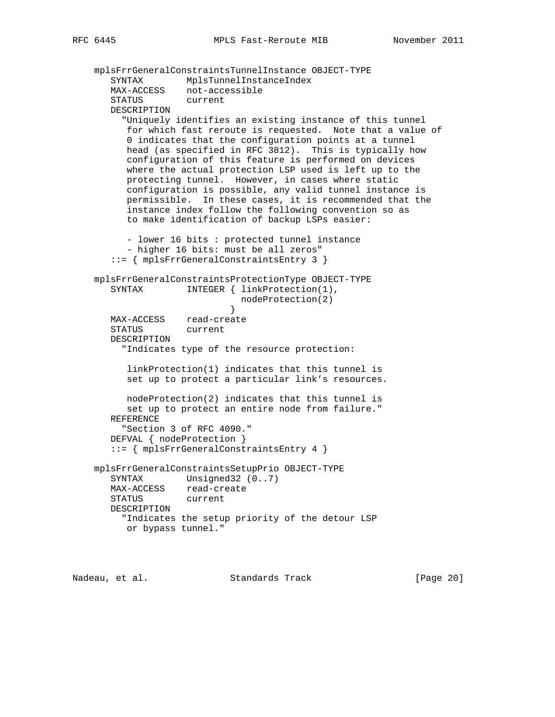```
 mplsFrrGeneralConstraintsTunnelInstance OBJECT-TYPE
 SYNTAX MplsTunnelInstanceIndex
 MAX-ACCESS not-accessible
       STATUS current
       DESCRIPTION
         "Uniquely identifies an existing instance of this tunnel
          for which fast reroute is requested. Note that a value of
          0 indicates that the configuration points at a tunnel
          head (as specified in RFC 3812). This is typically how
          configuration of this feature is performed on devices
          where the actual protection LSP used is left up to the
          protecting tunnel. However, in cases where static
          configuration is possible, any valid tunnel instance is
          permissible. In these cases, it is recommended that the
          instance index follow the following convention so as
          to make identification of backup LSPs easier:
          - lower 16 bits : protected tunnel instance
          - higher 16 bits: must be all zeros"
       ::= { mplsFrrGeneralConstraintsEntry 3 }
    mplsFrrGeneralConstraintsProtectionType OBJECT-TYPE
      SYNTAX INTEGER { linkProtection(1),
                           nodeProtection(2)<br>}
 }
       MAX-ACCESS read-create
       STATUS current
       DESCRIPTION
         "Indicates type of the resource protection:
          linkProtection(1) indicates that this tunnel is
          set up to protect a particular link's resources.
          nodeProtection(2) indicates that this tunnel is
          set up to protect an entire node from failure."
       REFERENCE
         "Section 3 of RFC 4090."
       DEFVAL { nodeProtection }
       ::= { mplsFrrGeneralConstraintsEntry 4 }
    mplsFrrGeneralConstraintsSetupPrio OBJECT-TYPE
      SYNTAX Unsigned32 (0..7)
       MAX-ACCESS read-create
       STATUS current
       DESCRIPTION
         "Indicates the setup priority of the detour LSP
         or bypass tunnel."
```
Nadeau, et al. Standards Track [Page 20]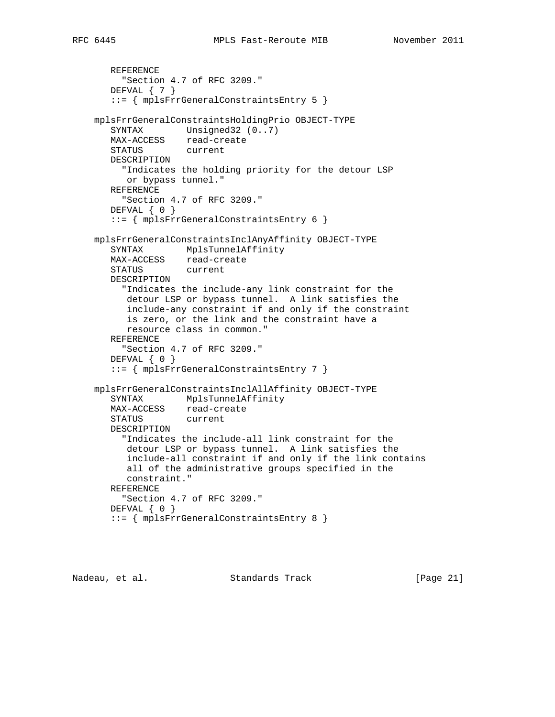```
 REFERENCE
     "Section 4.7 of RFC 3209."
   DEFVAL { 7 }
    ::= { mplsFrrGeneralConstraintsEntry 5 }
 mplsFrrGeneralConstraintsHoldingPrio OBJECT-TYPE
  SYNTAX Unsigned32 (0..7)
   MAX-ACCESS read-create
   STATUS current
   DESCRIPTION
      "Indicates the holding priority for the detour LSP
      or bypass tunnel."
   REFERENCE
     "Section 4.7 of RFC 3209."
   DEFVAL { 0 }
    ::= { mplsFrrGeneralConstraintsEntry 6 }
 mplsFrrGeneralConstraintsInclAnyAffinity OBJECT-TYPE
   SYNTAX MplsTunnelAffinity
   MAX-ACCESS read-create
   STATUS current
   DESCRIPTION
      "Indicates the include-any link constraint for the
      detour LSP or bypass tunnel. A link satisfies the
      include-any constraint if and only if the constraint
      is zero, or the link and the constraint have a
      resource class in common."
   REFERENCE
      "Section 4.7 of RFC 3209."
  DEFVAL { 0 }
    ::= { mplsFrrGeneralConstraintsEntry 7 }
 mplsFrrGeneralConstraintsInclAllAffinity OBJECT-TYPE
   SYNTAX MplsTunnelAffinity
   MAX-ACCESS read-create
   STATUS current
   DESCRIPTION
     "Indicates the include-all link constraint for the
      detour LSP or bypass tunnel. A link satisfies the
      include-all constraint if and only if the link contains
```
constraint."

"Section 4.7 of RFC 3209."

::= { mplsFrrGeneralConstraintsEntry 8 }

REFERENCE

DEFVAL { 0 }

Nadeau, et al. Standards Track [Page 21]

all of the administrative groups specified in the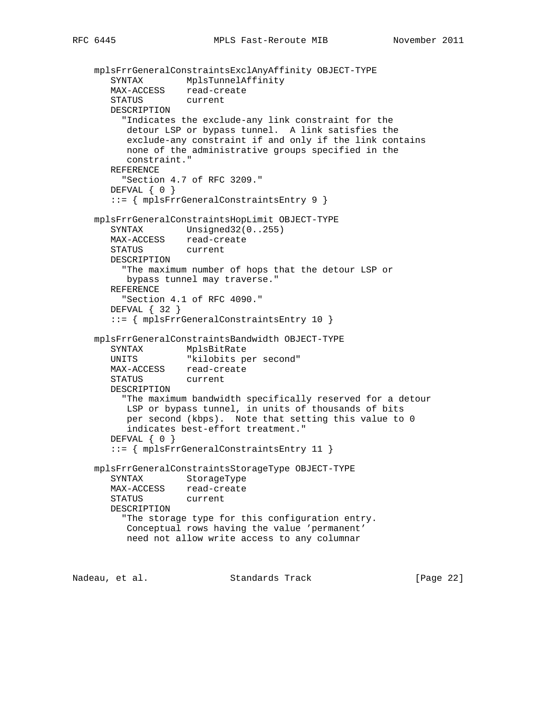```
 mplsFrrGeneralConstraintsExclAnyAffinity OBJECT-TYPE
 SYNTAX MplsTunnelAffinity
 MAX-ACCESS read-create
       STATUS current
       DESCRIPTION
         "Indicates the exclude-any link constraint for the
          detour LSP or bypass tunnel. A link satisfies the
          exclude-any constraint if and only if the link contains
          none of the administrative groups specified in the
          constraint."
       REFERENCE
         "Section 4.7 of RFC 3209."
       DEFVAL { 0 }
       ::= { mplsFrrGeneralConstraintsEntry 9 }
    mplsFrrGeneralConstraintsHopLimit OBJECT-TYPE
      SYNTAX Unsigned32(0..255)
      MAX-ACCESS read-create<br>STATUS current
      STATUS
       DESCRIPTION
         "The maximum number of hops that the detour LSP or
          bypass tunnel may traverse."
       REFERENCE
         "Section 4.1 of RFC 4090."
       DEFVAL { 32 }
       ::= { mplsFrrGeneralConstraintsEntry 10 }
    mplsFrrGeneralConstraintsBandwidth OBJECT-TYPE
 SYNTAX MplsBitRate
 UNITS "kilobits per second"
       MAX-ACCESS read-create
       STATUS current
       DESCRIPTION
         "The maximum bandwidth specifically reserved for a detour
          LSP or bypass tunnel, in units of thousands of bits
          per second (kbps). Note that setting this value to 0
          indicates best-effort treatment."
       DEFVAL { 0 }
       ::= { mplsFrrGeneralConstraintsEntry 11 }
    mplsFrrGeneralConstraintsStorageType OBJECT-TYPE
       SYNTAX StorageType
       MAX-ACCESS read-create
       STATUS current
       DESCRIPTION
         "The storage type for this configuration entry.
          Conceptual rows having the value 'permanent'
          need not allow write access to any columnar
```
Nadeau, et al. Standards Track [Page 22]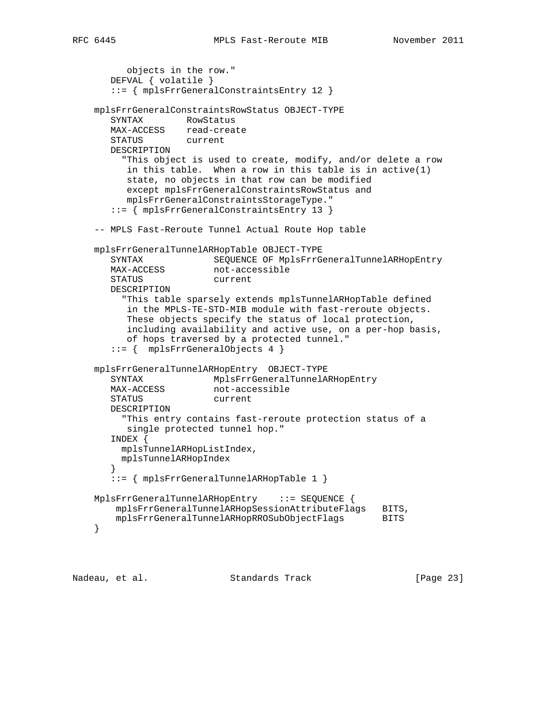```
 objects in the row."
       DEFVAL { volatile }
       ::= { mplsFrrGeneralConstraintsEntry 12 }
    mplsFrrGeneralConstraintsRowStatus OBJECT-TYPE
       SYNTAX RowStatus
       MAX-ACCESS read-create
       STATUS current
       DESCRIPTION
         "This object is used to create, modify, and/or delete a row
          in this table. When a row in this table is in active(1)
          state, no objects in that row can be modified
          except mplsFrrGeneralConstraintsRowStatus and
          mplsFrrGeneralConstraintsStorageType."
       ::= { mplsFrrGeneralConstraintsEntry 13 }
    -- MPLS Fast-Reroute Tunnel Actual Route Hop table
    mplsFrrGeneralTunnelARHopTable OBJECT-TYPE
       SYNTAX SEQUENCE OF MplsFrrGeneralTunnelARHopEntry
      MAX-ACCESS not-accessible
       STATUS current
       DESCRIPTION
         "This table sparsely extends mplsTunnelARHopTable defined
          in the MPLS-TE-STD-MIB module with fast-reroute objects.
          These objects specify the status of local protection,
          including availability and active use, on a per-hop basis,
          of hops traversed by a protected tunnel."
       ::= { mplsFrrGeneralObjects 4 }
    mplsFrrGeneralTunnelARHopEntry OBJECT-TYPE
      SYNTAX MplsFrrGeneralTunnelARHopEntry
      MAX-ACCESS not-accessible
       STATUS current
       DESCRIPTION
         "This entry contains fast-reroute protection status of a
          single protected tunnel hop."
       INDEX {
         mplsTunnelARHopListIndex,
         mplsTunnelARHopIndex
 }
       ::= { mplsFrrGeneralTunnelARHopTable 1 }
    MplsFrrGeneralTunnelARHopEntry ::= SEQUENCE {
       mplsFrrGeneralTunnelARHopSessionAttributeFlags BITS,
        mplsFrrGeneralTunnelARHopRROSubObjectFlags BITS
    }
```
Nadeau, et al. Standards Track [Page 23]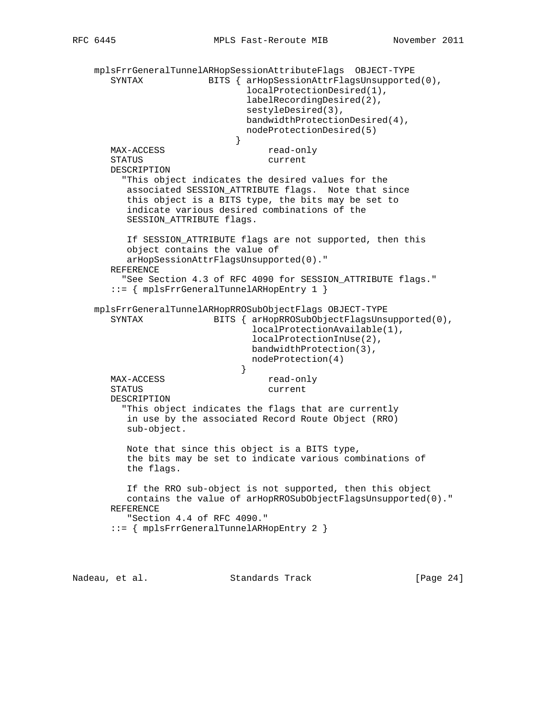```
 mplsFrrGeneralTunnelARHopSessionAttributeFlags OBJECT-TYPE
      SYNTAX BITS { arHopSessionAttrFlagsUnsupported(0),
                              localProtectionDesired(1),
                              labelRecordingDesired(2),
                              sestyleDesired(3),
                              bandwidthProtectionDesired(4),
                              nodeProtectionDesired(5)
 }
      MAX-ACCESS read-only
       STATUS current
       DESCRIPTION
         "This object indicates the desired values for the
         associated SESSION_ATTRIBUTE flags. Note that since
          this object is a BITS type, the bits may be set to
          indicate various desired combinations of the
         SESSION ATTRIBUTE flags.
          If SESSION_ATTRIBUTE flags are not supported, then this
          object contains the value of
         arHopSessionAttrFlagsUnsupported(0)."
       REFERENCE
        "See Section 4.3 of RFC 4090 for SESSION ATTRIBUTE flags."
       ::= { mplsFrrGeneralTunnelARHopEntry 1 }
    mplsFrrGeneralTunnelARHopRROSubObjectFlags OBJECT-TYPE
       SYNTAX BITS { arHopRROSubObjectFlagsUnsupported(0),
                               localProtectionAvailable(1),
                               localProtectionInUse(2),
                               bandwidthProtection(3),
                               nodeProtection(4)
 }
      MAX-ACCESS read-only
       STATUS current
       DESCRIPTION
         "This object indicates the flags that are currently
          in use by the associated Record Route Object (RRO)
          sub-object.
          Note that since this object is a BITS type,
          the bits may be set to indicate various combinations of
          the flags.
          If the RRO sub-object is not supported, then this object
          contains the value of arHopRROSubObjectFlagsUnsupported(0)."
       REFERENCE
          "Section 4.4 of RFC 4090."
       ::= { mplsFrrGeneralTunnelARHopEntry 2 }
```
Nadeau, et al. Standards Track [Paqe 24]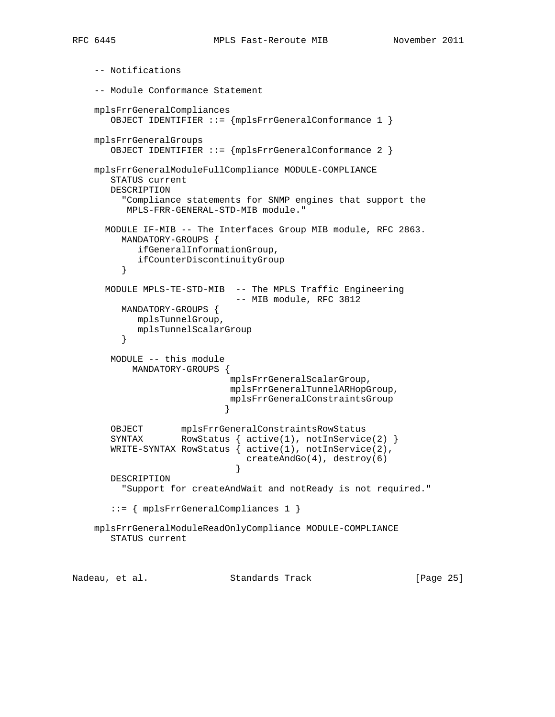```
 -- Notifications
    -- Module Conformance Statement
    mplsFrrGeneralCompliances
       OBJECT IDENTIFIER ::= {mplsFrrGeneralConformance 1 }
    mplsFrrGeneralGroups
       OBJECT IDENTIFIER ::= {mplsFrrGeneralConformance 2 }
    mplsFrrGeneralModuleFullCompliance MODULE-COMPLIANCE
       STATUS current
       DESCRIPTION
         "Compliance statements for SNMP engines that support the
          MPLS-FRR-GENERAL-STD-MIB module."
      MODULE IF-MIB -- The Interfaces Group MIB module, RFC 2863.
         MANDATORY-GROUPS {
           ifGeneralInformationGroup,
         ifCounterDiscontinuityGroup
 }
      MODULE MPLS-TE-STD-MIB -- The MPLS Traffic Engineering
                             -- MIB module, RFC 3812
         MANDATORY-GROUPS {
            mplsTunnelGroup,
            mplsTunnelScalarGroup
 }
       MODULE -- this module
           MANDATORY-GROUPS {
                            mplsFrrGeneralScalarGroup,
                            mplsFrrGeneralTunnelARHopGroup,
                            mplsFrrGeneralConstraintsGroup
 }
       OBJECT mplsFrrGeneralConstraintsRowStatus
      SYNTAX RowStatus { active(1), notInService(2) }
       WRITE-SYNTAX RowStatus { active(1), notInService(2),
                               createAndGo(4), destroy(6)
 }
       DESCRIPTION
         "Support for createAndWait and notReady is not required."
       ::= { mplsFrrGeneralCompliances 1 }
    mplsFrrGeneralModuleReadOnlyCompliance MODULE-COMPLIANCE
       STATUS current
```
Nadeau, et al. Standards Track [Page 25]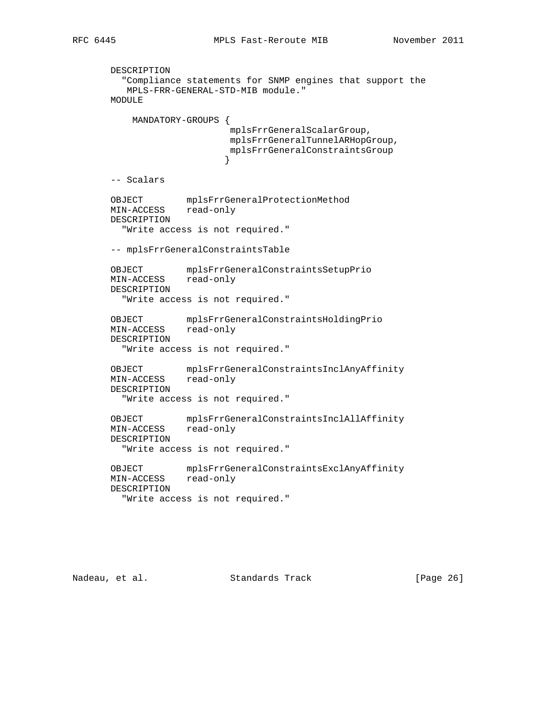```
 DESCRIPTION
         "Compliance statements for SNMP engines that support the
          MPLS-FRR-GENERAL-STD-MIB module."
       MODULE
           MANDATORY-GROUPS {
                            mplsFrrGeneralScalarGroup,
                            mplsFrrGeneralTunnelARHopGroup,
                            mplsFrrGeneralConstraintsGroup
 }
       -- Scalars
       OBJECT mplsFrrGeneralProtectionMethod
       MIN-ACCESS read-only
       DESCRIPTION
         "Write access is not required."
       -- mplsFrrGeneralConstraintsTable
       OBJECT mplsFrrGeneralConstraintsSetupPrio
       MIN-ACCESS read-only
       DESCRIPTION
         "Write access is not required."
       OBJECT mplsFrrGeneralConstraintsHoldingPrio
       MIN-ACCESS read-only
       DESCRIPTION
         "Write access is not required."
       OBJECT mplsFrrGeneralConstraintsInclAnyAffinity
       MIN-ACCESS read-only
       DESCRIPTION
         "Write access is not required."
       OBJECT mplsFrrGeneralConstraintsInclAllAffinity
       MIN-ACCESS read-only
       DESCRIPTION
         "Write access is not required."
       OBJECT mplsFrrGeneralConstraintsExclAnyAffinity
       MIN-ACCESS read-only
       DESCRIPTION
         "Write access is not required."
```
Nadeau, et al. Standards Track [Page 26]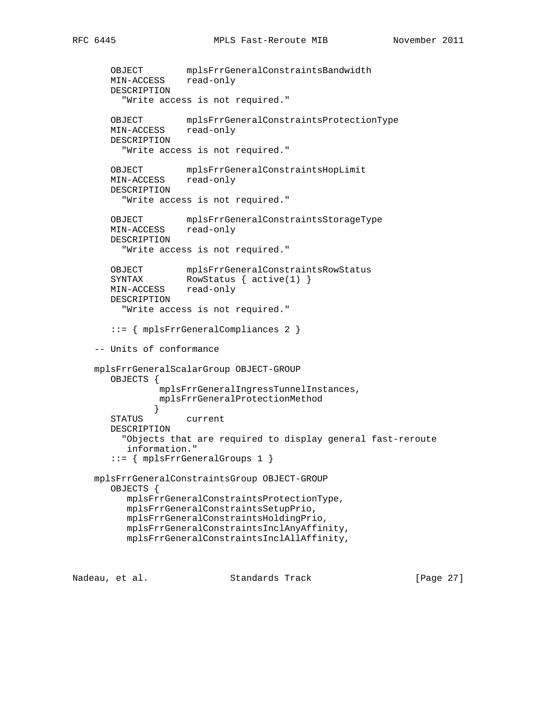```
 OBJECT mplsFrrGeneralConstraintsBandwidth
       MIN-ACCESS read-only
       DESCRIPTION
          "Write access is not required."
       OBJECT mplsFrrGeneralConstraintsProtectionType
       MIN-ACCESS read-only
       DESCRIPTION
          "Write access is not required."
       OBJECT mplsFrrGeneralConstraintsHopLimit
       MIN-ACCESS read-only
       DESCRIPTION
         "Write access is not required."
       OBJECT mplsFrrGeneralConstraintsStorageType
       MIN-ACCESS read-only
       DESCRIPTION
         "Write access is not required."
       OBJECT mplsFrrGeneralConstraintsRowStatus
      SYNTAX RowStatus { active(1) }
       MIN-ACCESS read-only
       DESCRIPTION
          "Write access is not required."
        ::= { mplsFrrGeneralCompliances 2 }
     -- Units of conformance
    mplsFrrGeneralScalarGroup OBJECT-GROUP
       OBJECTS {
                mplsFrrGeneralIngressTunnelInstances,
                mplsFrrGeneralProtectionMethod
 }
       STATUS current
       DESCRIPTION
          "Objects that are required to display general fast-reroute
          information."
        ::= { mplsFrrGeneralGroups 1 }
    mplsFrrGeneralConstraintsGroup OBJECT-GROUP
        OBJECTS {
          mplsFrrGeneralConstraintsProtectionType,
          mplsFrrGeneralConstraintsSetupPrio,
          mplsFrrGeneralConstraintsHoldingPrio,
          mplsFrrGeneralConstraintsInclAnyAffinity,
          mplsFrrGeneralConstraintsInclAllAffinity,
Nadeau, et al.                 Standards Track                 [Paqe 27]
```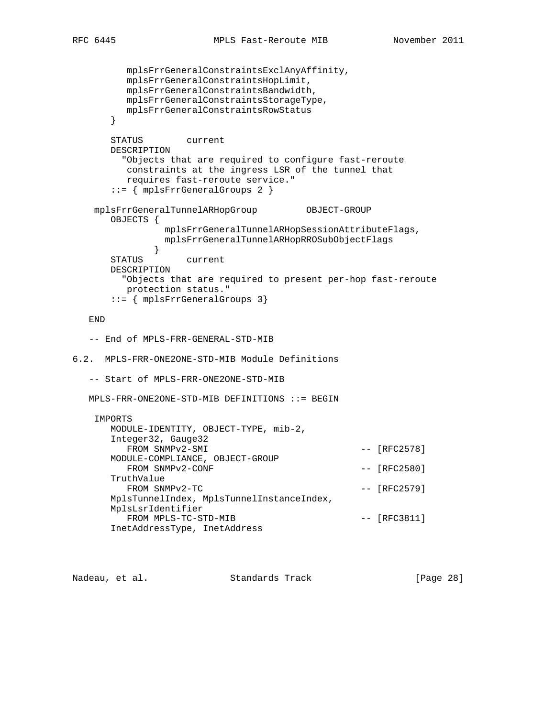```
 mplsFrrGeneralConstraintsExclAnyAffinity,
          mplsFrrGeneralConstraintsHopLimit,
          mplsFrrGeneralConstraintsBandwidth,
          mplsFrrGeneralConstraintsStorageType,
          mplsFrrGeneralConstraintsRowStatus
       }
       STATUS current
       DESCRIPTION
         "Objects that are required to configure fast-reroute
         constraints at the ingress LSR of the tunnel that
          requires fast-reroute service."
       ::= { mplsFrrGeneralGroups 2 }
    mplsFrrGeneralTunnelARHopGroup OBJECT-GROUP
       OBJECTS {
                mplsFrrGeneralTunnelARHopSessionAttributeFlags,
                mplsFrrGeneralTunnelARHopRROSubObjectFlags
 }
       STATUS current
       DESCRIPTION
         "Objects that are required to present per-hop fast-reroute
         protection status."
       ::= { mplsFrrGeneralGroups 3}
   END
   -- End of MPLS-FRR-GENERAL-STD-MIB
6.2. MPLS-FRR-ONE2ONE-STD-MIB Module Definitions
   -- Start of MPLS-FRR-ONE2ONE-STD-MIB
   MPLS-FRR-ONE2ONE-STD-MIB DEFINITIONS ::= BEGIN
    IMPORTS
       MODULE-IDENTITY, OBJECT-TYPE, mib-2,
       Integer32, Gauge32
        FROM SNMPv2-SMI -- [RFC2578]
       MODULE-COMPLIANCE, OBJECT-GROUP
        FROM SNMPv2-CONF --- [RFC2580]
       TruthValue
         FROM \quad \text{SNNPv2-TC} -- \quad [RFC2579] MplsTunnelIndex, MplsTunnelInstanceIndex,
       MplsLsrIdentifier
         FROM MPLS-TC-STD-MIB - [RFC3811]
       InetAddressType, InetAddress
```
Nadeau, et al. Standards Track [Page 28]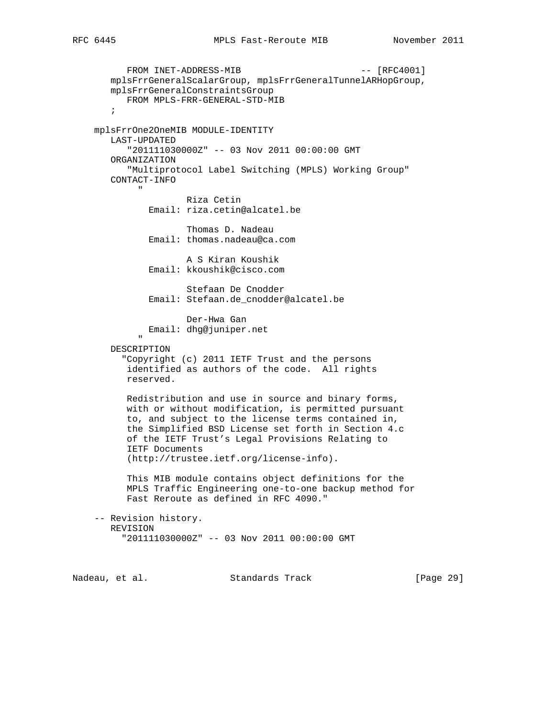```
FROM INET-ADDRESS-MIB --- [RFC4001]
          mplsFrrGeneralScalarGroup, mplsFrrGeneralTunnelARHopGroup,
          mplsFrrGeneralConstraintsGroup
             FROM MPLS-FRR-GENERAL-STD-MIB
\mathcal{L}^{\text{max}} mplsFrrOne2OneMIB MODULE-IDENTITY
          LAST-UPDATED
              "201111030000Z" -- 03 Nov 2011 00:00:00 GMT
          ORGANIZATION
              "Multiprotocol Label Switching (MPLS) Working Group"
          CONTACT-INFO
" "The Contract of the Contract of the Contract of the Contract of the Contract of the Contract of the Contract of the Contract of the Contract of the Contract of the Contract of the Contract of the Contract of the Contrac
                           Riza Cetin
                   Email: riza.cetin@alcatel.be
                            Thomas D. Nadeau
                   Email: thomas.nadeau@ca.com
                             A S Kiran Koushik
                   Email: kkoushik@cisco.com
                             Stefaan De Cnodder
                   Email: Stefaan.de_cnodder@alcatel.be
                             Der-Hwa Gan
                   Email: dhg@juniper.net
" "The Contract of the Contract of the Contract of the Contract of the Contract of the Contract of the Contract of the Contract of the Contract of the Contract of the Contract of the Contract of the Contract of the Contrac
          DESCRIPTION
             "Copyright (c) 2011 IETF Trust and the persons
              identified as authors of the code. All rights
              reserved.
              Redistribution and use in source and binary forms,
              with or without modification, is permitted pursuant
              to, and subject to the license terms contained in,
              the Simplified BSD License set forth in Section 4.c
              of the IETF Trust's Legal Provisions Relating to
              IETF Documents
              (http://trustee.ietf.org/license-info).
              This MIB module contains object definitions for the
              MPLS Traffic Engineering one-to-one backup method for
              Fast Reroute as defined in RFC 4090."
      -- Revision history.
          REVISION
             "201111030000Z" -- 03 Nov 2011 00:00:00 GMT
```
Nadeau, et al. Standards Track [Page 29]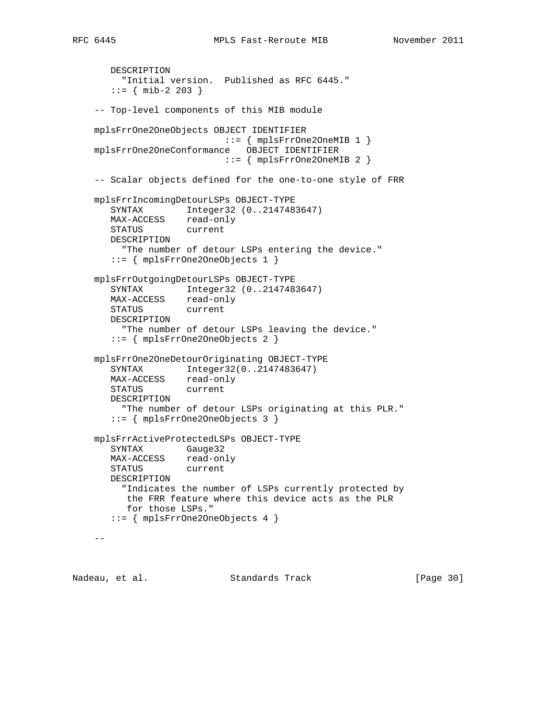```
 DESCRIPTION
         "Initial version. Published as RFC 6445."
       ::= { mib-2 203 }
    -- Top-level components of this MIB module
    mplsFrrOne2OneObjects OBJECT IDENTIFIER
                          ::= { mplsFrrOne2OneMIB 1 }
    mplsFrrOne2OneConformance OBJECT IDENTIFIER
                           ::= { mplsFrrOne2OneMIB 2 }
    -- Scalar objects defined for the one-to-one style of FRR
    mplsFrrIncomingDetourLSPs OBJECT-TYPE
       SYNTAX Integer32 (0..2147483647)
      MAX-ACCESS read-only<br>STATUS current
      STATUS
       DESCRIPTION
         "The number of detour LSPs entering the device."
       ::= { mplsFrrOne2OneObjects 1 }
    mplsFrrOutgoingDetourLSPs OBJECT-TYPE
 SYNTAX Integer32 (0..2147483647)
 MAX-ACCESS read-only
       STATUS current
       DESCRIPTION
         "The number of detour LSPs leaving the device."
       ::= { mplsFrrOne2OneObjects 2 }
    mplsFrrOne2OneDetourOriginating OBJECT-TYPE
       SYNTAX Integer32(0..2147483647)
       MAX-ACCESS read-only
       STATUS current
       DESCRIPTION
         "The number of detour LSPs originating at this PLR."
       ::= { mplsFrrOne2OneObjects 3 }
    mplsFrrActiveProtectedLSPs OBJECT-TYPE
       SYNTAX Gauge32
       MAX-ACCESS read-only
       STATUS current
       DESCRIPTION
         "Indicates the number of LSPs currently protected by
          the FRR feature where this device acts as the PLR
          for those LSPs."
```

```
- -
```
Nadeau, et al. Standards Track [Page 30]

::= { mplsFrrOne2OneObjects 4 }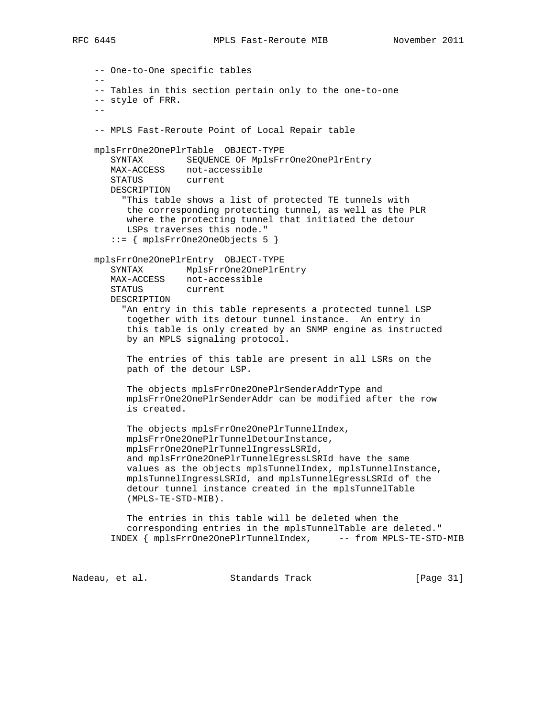-- One-to-One specific tables -- -- Tables in this section pertain only to the one-to-one -- style of FRR. -- -- MPLS Fast-Reroute Point of Local Repair table mplsFrrOne2OnePlrTable OBJECT-TYPE SYNTAX SEQUENCE OF MplsFrrOne2OnePlrEntry MAX-ACCESS not-accessible STATUS current DESCRIPTION "This table shows a list of protected TE tunnels with the corresponding protecting tunnel, as well as the PLR where the protecting tunnel that initiated the detour LSPs traverses this node." ::= { mplsFrrOne2OneObjects 5 } mplsFrrOne2OnePlrEntry OBJECT-TYPE SYNTAX MplsFrrOne2OnePlrEntry MAX-ACCESS not-accessible STATUS current DESCRIPTION "An entry in this table represents a protected tunnel LSP together with its detour tunnel instance. An entry in this table is only created by an SNMP engine as instructed by an MPLS signaling protocol. The entries of this table are present in all LSRs on the path of the detour LSP. The objects mplsFrrOne2OnePlrSenderAddrType and mplsFrrOne2OnePlrSenderAddr can be modified after the row is created. The objects mplsFrrOne2OnePlrTunnelIndex, mplsFrrOne2OnePlrTunnelDetourInstance, mplsFrrOne2OnePlrTunnelIngressLSRId, and mplsFrrOne2OnePlrTunnelEgressLSRId have the same values as the objects mplsTunnelIndex, mplsTunnelInstance, mplsTunnelIngressLSRId, and mplsTunnelEgressLSRId of the detour tunnel instance created in the mplsTunnelTable (MPLS-TE-STD-MIB). The entries in this table will be deleted when the corresponding entries in the mplsTunnelTable are deleted." INDEX { mplsFrrOne2OnePlrTunnelIndex, -- from MPLS-TE-STD-MIB

Nadeau, et al. Standards Track [Page 31]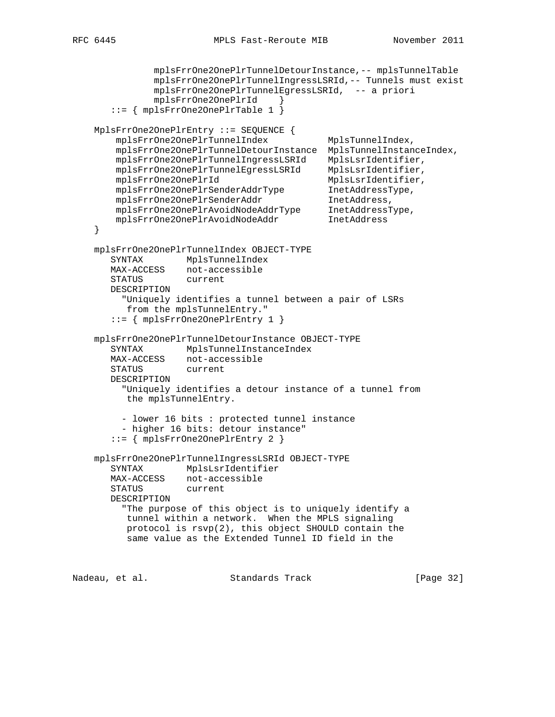```
 mplsFrrOne2OnePlrTunnelDetourInstance,-- mplsTunnelTable
               mplsFrrOne2OnePlrTunnelIngressLSRId,-- Tunnels must exist
              mplsFrrOne2OnePlrTunnelEgressLSRId, -- a priori
               mplsFrrOne2OnePlrId }
       ::= { mplsFrrOne2OnePlrTable 1 }
    MplsFrrOne2OnePlrEntry ::= SEQUENCE {
        mplsFrrOne2OnePlrTunnelIndex MplsTunnelIndex,
        mplsFrrOne2OnePlrTunnelDetourInstance MplsTunnelInstanceIndex,
        mplsFrrOne2OnePlrTunnelIngressLSRId MplsLsrIdentifier,
        mplsFrrOne2OnePlrTunnelEgressLSRId MplsLsrIdentifier,
 mplsFrrOne2OnePlrId MplsLsrIdentifier,
 mplsFrrOne2OnePlrSenderAddrType InetAddressType,
mplsFrrOne2OnePlrSenderAddr     InetAddress,
 mplsFrrOne2OnePlrAvoidNodeAddrType InetAddressType,
 mplsFrrOne2OnePlrAvoidNodeAddr InetAddress
    }
    mplsFrrOne2OnePlrTunnelIndex OBJECT-TYPE
       SYNTAX MplsTunnelIndex
       MAX-ACCESS not-accessible
       STATUS current
       DESCRIPTION
         "Uniquely identifies a tunnel between a pair of LSRs
          from the mplsTunnelEntry."
       ::= { mplsFrrOne2OnePlrEntry 1 }
    mplsFrrOne2OnePlrTunnelDetourInstance OBJECT-TYPE
       SYNTAX MplsTunnelInstanceIndex
       MAX-ACCESS not-accessible
       STATUS current
       DESCRIPTION
         "Uniquely identifies a detour instance of a tunnel from
          the mplsTunnelEntry.
         - lower 16 bits : protected tunnel instance
         - higher 16 bits: detour instance"
       ::= { mplsFrrOne2OnePlrEntry 2 }
    mplsFrrOne2OnePlrTunnelIngressLSRId OBJECT-TYPE
       SYNTAX MplsLsrIdentifier
       MAX-ACCESS not-accessible
       STATUS current
       DESCRIPTION
         "The purpose of this object is to uniquely identify a
          tunnel within a network. When the MPLS signaling
          protocol is rsvp(2), this object SHOULD contain the
          same value as the Extended Tunnel ID field in the
Nadeau, et al. Standards Track [Page 32]
```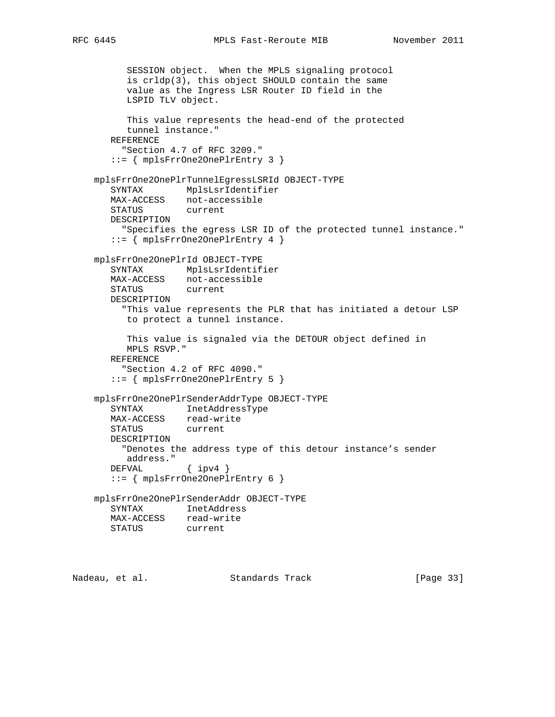```
 SESSION object. When the MPLS signaling protocol
      is crldp(3), this object SHOULD contain the same
      value as the Ingress LSR Router ID field in the
      LSPID TLV object.
      This value represents the head-end of the protected
      tunnel instance."
   REFERENCE
      "Section 4.7 of RFC 3209."
    ::= { mplsFrrOne2OnePlrEntry 3 }
 mplsFrrOne2OnePlrTunnelEgressLSRId OBJECT-TYPE
   SYNTAX MplsLsrIdentifier
   MAX-ACCESS not-accessible
   STATUS current
   DESCRIPTION
     "Specifies the egress LSR ID of the protected tunnel instance."
    ::= { mplsFrrOne2OnePlrEntry 4 }
 mplsFrrOne2OnePlrId OBJECT-TYPE
   SYNTAX MplsLsrIdentifier
   MAX-ACCESS not-accessible
   STATUS current
   DESCRIPTION
      "This value represents the PLR that has initiated a detour LSP
      to protect a tunnel instance.
      This value is signaled via the DETOUR object defined in
      MPLS RSVP."
   REFERENCE
     "Section 4.2 of RFC 4090."
    ::= { mplsFrrOne2OnePlrEntry 5 }
 mplsFrrOne2OnePlrSenderAddrType OBJECT-TYPE
   SYNTAX InetAddressType
  MAX-ACCESS read-write<br>STATUS current
  STATUS
   DESCRIPTION
     "Denotes the address type of this detour instance's sender
      address."
  DEFVAL { ipv4 }
    ::= { mplsFrrOne2OnePlrEntry 6 }
 mplsFrrOne2OnePlrSenderAddr OBJECT-TYPE
   SYNTAX InetAddress
   MAX-ACCESS read-write
   STATUS current
```
Nadeau, et al. Standards Track [Page 33]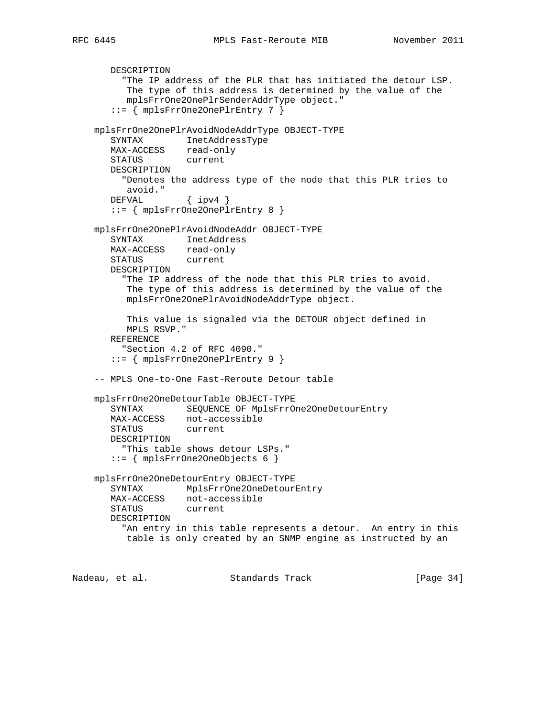```
 DESCRIPTION
         "The IP address of the PLR that has initiated the detour LSP.
          The type of this address is determined by the value of the
          mplsFrrOne2OnePlrSenderAddrType object."
       ::= { mplsFrrOne2OnePlrEntry 7 }
    mplsFrrOne2OnePlrAvoidNodeAddrType OBJECT-TYPE
       SYNTAX InetAddressType
       MAX-ACCESS read-only
       STATUS current
       DESCRIPTION
         "Denotes the address type of the node that this PLR tries to
          avoid."
       DEFVAL { ipv4 }
       ::= { mplsFrrOne2OnePlrEntry 8 }
    mplsFrrOne2OnePlrAvoidNodeAddr OBJECT-TYPE
       SYNTAX InetAddress
       MAX-ACCESS read-only
       STATUS current
       DESCRIPTION
         "The IP address of the node that this PLR tries to avoid.
          The type of this address is determined by the value of the
          mplsFrrOne2OnePlrAvoidNodeAddrType object.
          This value is signaled via the DETOUR object defined in
          MPLS RSVP."
       REFERENCE
         "Section 4.2 of RFC 4090."
       ::= { mplsFrrOne2OnePlrEntry 9 }
     -- MPLS One-to-One Fast-Reroute Detour table
    mplsFrrOne2OneDetourTable OBJECT-TYPE
       SYNTAX SEQUENCE OF MplsFrrOne2OneDetourEntry
       MAX-ACCESS not-accessible
       STATUS current
       DESCRIPTION
         "This table shows detour LSPs."
       ::= { mplsFrrOne2OneObjects 6 }
    mplsFrrOne2OneDetourEntry OBJECT-TYPE
       SYNTAX MplsFrrOne2OneDetourEntry
       MAX-ACCESS not-accessible
       STATUS current
       DESCRIPTION
         "An entry in this table represents a detour. An entry in this
          table is only created by an SNMP engine as instructed by an
Nadeau, et al. Standards Track [Page 34]
```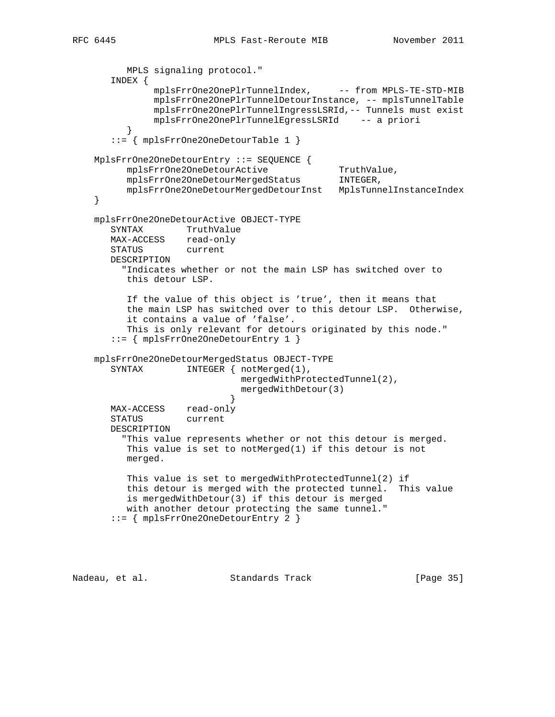```
 MPLS signaling protocol."
       INDEX {
             mplsFrrOne2OnePlrTunnelIndex, -- from MPLS-TE-STD-MIB
              mplsFrrOne2OnePlrTunnelDetourInstance, -- mplsTunnelTable
              mplsFrrOne2OnePlrTunnelIngressLSRId,-- Tunnels must exist
               mplsFrrOne2OnePlrTunnelEgressLSRId -- a priori
 }
       ::= { mplsFrrOne2OneDetourTable 1 }
    MplsFrrOne2OneDetourEntry ::= SEQUENCE {
mplsFrrOne2OneDetourActive TruthValue,
 mplsFrrOne2OneDetourMergedStatus INTEGER,
          mplsFrrOne2OneDetourMergedDetourInst MplsTunnelInstanceIndex
    }
    mplsFrrOne2OneDetourActive OBJECT-TYPE
       SYNTAX TruthValue
      MAX-ACCESS read-only
       STATUS current
       DESCRIPTION
         "Indicates whether or not the main LSP has switched over to
          this detour LSP.
          If the value of this object is 'true', then it means that
          the main LSP has switched over to this detour LSP. Otherwise,
          it contains a value of 'false'.
          This is only relevant for detours originated by this node."
       ::= { mplsFrrOne2OneDetourEntry 1 }
    mplsFrrOne2OneDetourMergedStatus OBJECT-TYPE
      SYNTAX INTEGER { notMerged(1),
                             mergedWithProtectedTunnel(2),
                             mergedWithDetour(3)
 }
       MAX-ACCESS read-only
       STATUS current
       DESCRIPTION
         "This value represents whether or not this detour is merged.
          This value is set to notMerged(1) if this detour is not
          merged.
          This value is set to mergedWithProtectedTunnel(2) if
          this detour is merged with the protected tunnel. This value
          is mergedWithDetour(3) if this detour is merged
          with another detour protecting the same tunnel."
       ::= { mplsFrrOne2OneDetourEntry 2 }
```
Nadeau, et al. Standards Track [Page 35]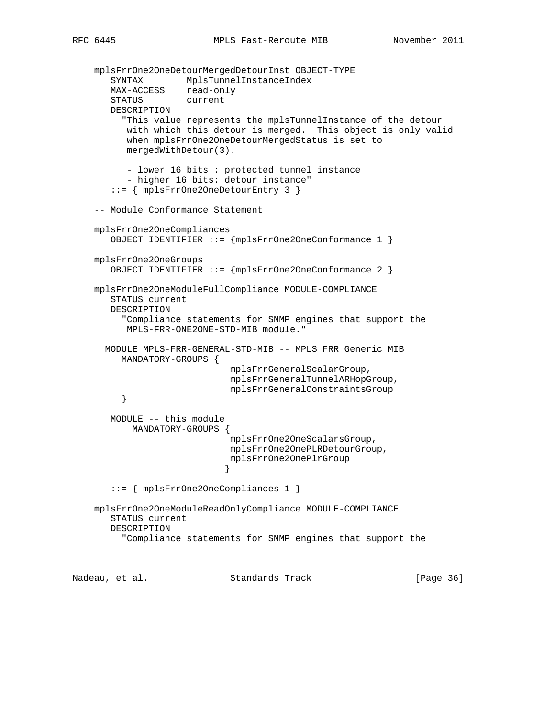```
 mplsFrrOne2OneDetourMergedDetourInst OBJECT-TYPE
 SYNTAX MplsTunnelInstanceIndex
 MAX-ACCESS read-only
       STATUS current
       DESCRIPTION
         "This value represents the mplsTunnelInstance of the detour
          with which this detour is merged. This object is only valid
          when mplsFrrOne2OneDetourMergedStatus is set to
          mergedWithDetour(3).
          - lower 16 bits : protected tunnel instance
          - higher 16 bits: detour instance"
       ::= { mplsFrrOne2OneDetourEntry 3 }
    -- Module Conformance Statement
    mplsFrrOne2OneCompliances
       OBJECT IDENTIFIER ::= {mplsFrrOne2OneConformance 1 }
    mplsFrrOne2OneGroups
       OBJECT IDENTIFIER ::= {mplsFrrOne2OneConformance 2 }
    mplsFrrOne2OneModuleFullCompliance MODULE-COMPLIANCE
       STATUS current
       DESCRIPTION
         "Compliance statements for SNMP engines that support the
          MPLS-FRR-ONE2ONE-STD-MIB module."
      MODULE MPLS-FRR-GENERAL-STD-MIB -- MPLS FRR Generic MIB
         MANDATORY-GROUPS {
                             mplsFrrGeneralScalarGroup,
                             mplsFrrGeneralTunnelARHopGroup,
                             mplsFrrGeneralConstraintsGroup
 }
       MODULE -- this module
           MANDATORY-GROUPS {
                             mplsFrrOne2OneScalarsGroup,
                             mplsFrrOne2OnePLRDetourGroup,
                             mplsFrrOne2OnePlrGroup
 }
       ::= { mplsFrrOne2OneCompliances 1 }
    mplsFrrOne2OneModuleReadOnlyCompliance MODULE-COMPLIANCE
       STATUS current
       DESCRIPTION
         "Compliance statements for SNMP engines that support the
```
Nadeau, et al. Standards Track [Page 36]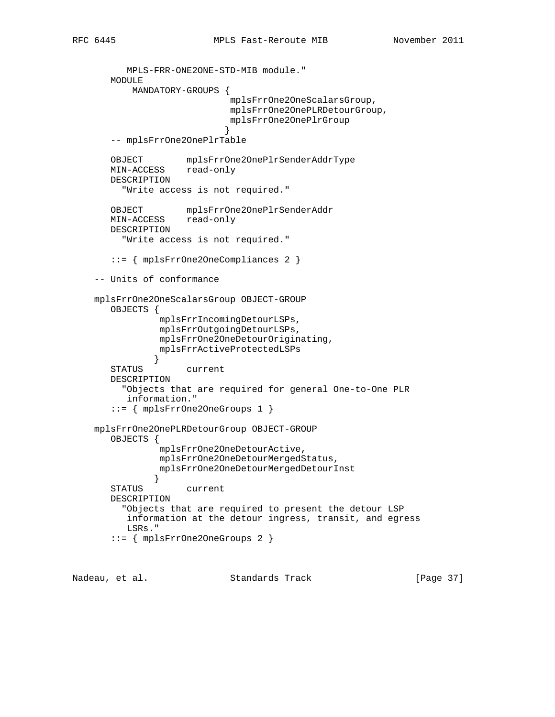```
 MPLS-FRR-ONE2ONE-STD-MIB module."
       MODULE
           MANDATORY-GROUPS {
                            mplsFrrOne2OneScalarsGroup,
                            mplsFrrOne2OnePLRDetourGroup,
                            mplsFrrOne2OnePlrGroup
 }
       -- mplsFrrOne2OnePlrTable
       OBJECT mplsFrrOne2OnePlrSenderAddrType
       MIN-ACCESS read-only
       DESCRIPTION
         "Write access is not required."
       OBJECT mplsFrrOne2OnePlrSenderAddr
       MIN-ACCESS read-only
       DESCRIPTION
         "Write access is not required."
       ::= { mplsFrrOne2OneCompliances 2 }
    -- Units of conformance
    mplsFrrOne2OneScalarsGroup OBJECT-GROUP
       OBJECTS {
                mplsFrrIncomingDetourLSPs,
                mplsFrrOutgoingDetourLSPs,
                mplsFrrOne2OneDetourOriginating,
               mplsFrrActiveProtectedLSPs
 }
       STATUS current
       DESCRIPTION
         "Objects that are required for general One-to-One PLR
          information."
       ::= { mplsFrrOne2OneGroups 1 }
    mplsFrrOne2OnePLRDetourGroup OBJECT-GROUP
       OBJECTS {
                mplsFrrOne2OneDetourActive,
                mplsFrrOne2OneDetourMergedStatus,
               mplsFrrOne2OneDetourMergedDetourInst
 }
       STATUS current
       DESCRIPTION
         "Objects that are required to present the detour LSP
         information at the detour ingress, transit, and egress
          LSRs."
       ::= { mplsFrrOne2OneGroups 2 }
```
Nadeau, et al. Standards Track [Page 37]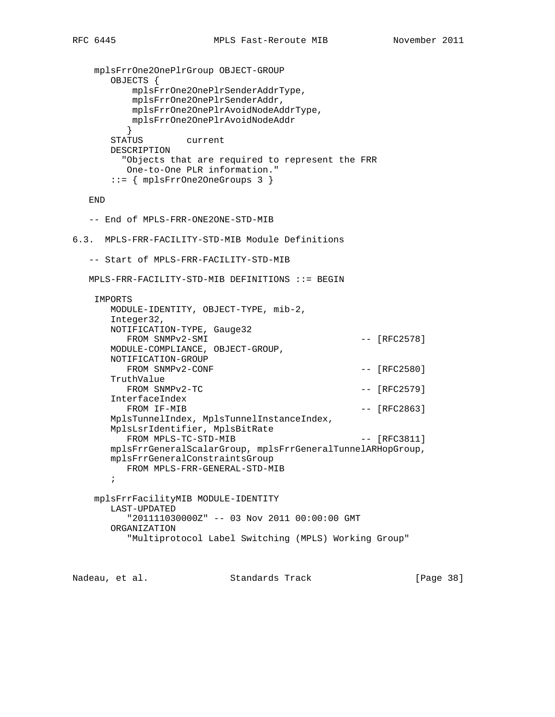```
 mplsFrrOne2OnePlrGroup OBJECT-GROUP
       OBJECTS {
          mplsFrrOne2OnePlrSenderAddrType,
          mplsFrrOne2OnePlrSenderAddr,
          mplsFrrOne2OnePlrAvoidNodeAddrType,
          mplsFrrOne2OnePlrAvoidNodeAddr
 }
       STATUS current
       DESCRIPTION
         "Objects that are required to represent the FRR
         One-to-One PLR information."
       ::= { mplsFrrOne2OneGroups 3 }
   END
   -- End of MPLS-FRR-ONE2ONE-STD-MIB
6.3. MPLS-FRR-FACILITY-STD-MIB Module Definitions
   -- Start of MPLS-FRR-FACILITY-STD-MIB
   MPLS-FRR-FACILITY-STD-MIB DEFINITIONS ::= BEGIN
    IMPORTS
       MODULE-IDENTITY, OBJECT-TYPE, mib-2,
       Integer32,
       NOTIFICATION-TYPE, Gauge32
         FROM SNMPv2-SMI - [RFC2578]
       MODULE-COMPLIANCE, OBJECT-GROUP,
       NOTIFICATION-GROUP
        FROM SNMPv2-CONF --- [RFC2580]
       TruthValue
        FROM SNMPv2-TC - [RFC2579]
       InterfaceIndex
        FROM IF-MIB - [RFC2863]
       MplsTunnelIndex, MplsTunnelInstanceIndex,
       MplsLsrIdentifier, MplsBitRate
        FROM MPLS-TC-STD-MIB - [RFC3811]
       mplsFrrGeneralScalarGroup, mplsFrrGeneralTunnelARHopGroup,
       mplsFrrGeneralConstraintsGroup
         FROM MPLS-FRR-GENERAL-STD-MIB
       ;
    mplsFrrFacilityMIB MODULE-IDENTITY
       LAST-UPDATED
          "201111030000Z" -- 03 Nov 2011 00:00:00 GMT
       ORGANIZATION
          "Multiprotocol Label Switching (MPLS) Working Group"
```
Nadeau, et al. Standards Track [Paqe 38]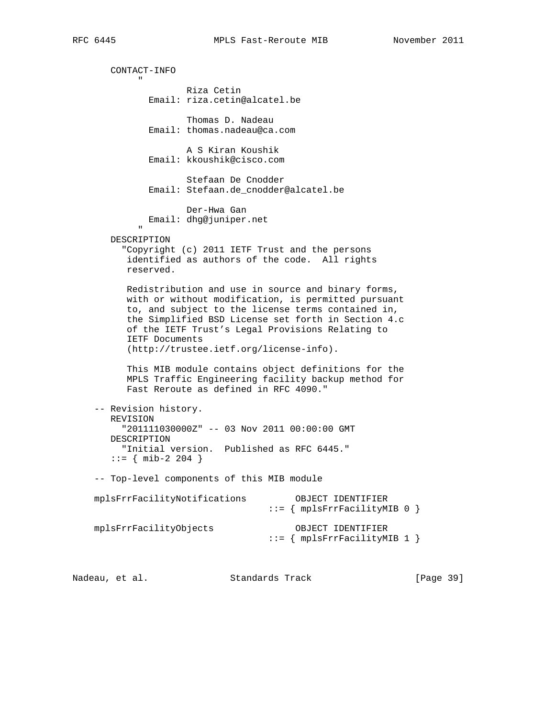CONTACT-INFO " "The Contract of the Contract of the Contract of the Contract of the Contract of the Contract of the Contract of the Contract of the Contract of the Contract of the Contract of the Contract of the Contract of the Contrac Riza Cetin Email: riza.cetin@alcatel.be Thomas D. Nadeau Email: thomas.nadeau@ca.com A S Kiran Koushik Email: kkoushik@cisco.com Stefaan De Cnodder Email: Stefaan.de\_cnodder@alcatel.be Der-Hwa Gan Email: dhg@juniper.net " "The Contract of the Contract of the Contract of the Contract of the Contract of the Contract of the Contract of the Contract of the Contract of the Contract of the Contract of the Contract of the Contract of the Contrac DESCRIPTION "Copyright (c) 2011 IETF Trust and the persons identified as authors of the code. All rights reserved. Redistribution and use in source and binary forms, with or without modification, is permitted pursuant to, and subject to the license terms contained in, the Simplified BSD License set forth in Section 4.c of the IETF Trust's Legal Provisions Relating to IETF Documents (http://trustee.ietf.org/license-info). This MIB module contains object definitions for the MPLS Traffic Engineering facility backup method for Fast Reroute as defined in RFC 4090." -- Revision history. REVISION "201111030000Z" -- 03 Nov 2011 00:00:00 GMT DESCRIPTION "Initial version. Published as RFC 6445."  $::=$  { mib-2 204 } -- Top-level components of this MIB module mplsFrrFacilityNotifications OBJECT IDENTIFIER  $\cdots = \{$  mplsFrrFacilityMIB 0  $\}$  mplsFrrFacilityObjects OBJECT IDENTIFIER ::= { mplsFrrFacilityMIB 1 }

Nadeau, et al. Standards Track [Page 39]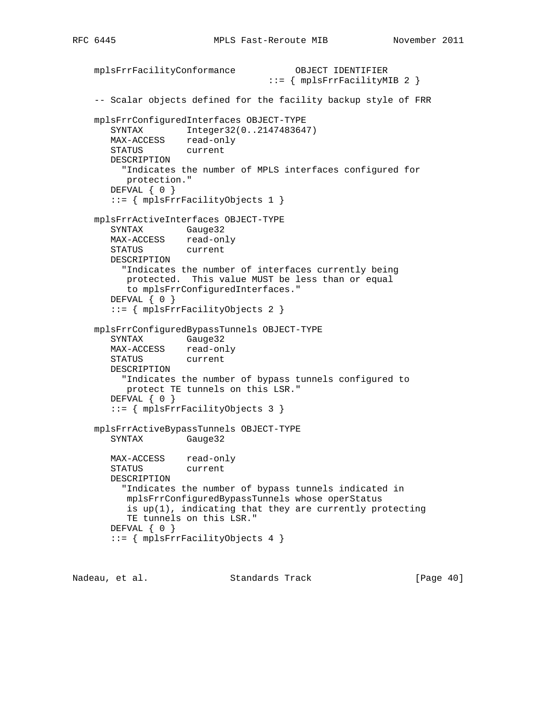```
 mplsFrrFacilityConformance OBJECT IDENTIFIER
                                ::= { mplsFrrFacilityMIB 2 }
 -- Scalar objects defined for the facility backup style of FRR
 mplsFrrConfiguredInterfaces OBJECT-TYPE
   SYNTAX Integer32(0..2147483647)
   MAX-ACCESS read-only
   STATUS current
   DESCRIPTION
      "Indicates the number of MPLS interfaces configured for
      protection."
   DEFVAL { 0 }
    ::= { mplsFrrFacilityObjects 1 }
 mplsFrrActiveInterfaces OBJECT-TYPE
   SYNTAX Gauge32
  MAX-ACCESS read-only
   STATUS current
   DESCRIPTION
     "Indicates the number of interfaces currently being
      protected. This value MUST be less than or equal
      to mplsFrrConfiguredInterfaces."
   DEFVAL { 0 }
    ::= { mplsFrrFacilityObjects 2 }
 mplsFrrConfiguredBypassTunnels OBJECT-TYPE
   SYNTAX Gauge32
   MAX-ACCESS read-only
   STATUS current
   DESCRIPTION
     "Indicates the number of bypass tunnels configured to
      protect TE tunnels on this LSR."
  DEFVAL { 0 }
    ::= { mplsFrrFacilityObjects 3 }
 mplsFrrActiveBypassTunnels OBJECT-TYPE
   SYNTAX Gauge32
   MAX-ACCESS read-only
   STATUS current
   DESCRIPTION
      "Indicates the number of bypass tunnels indicated in
      mplsFrrConfiguredBypassTunnels whose operStatus
      is up(1), indicating that they are currently protecting
      TE tunnels on this LSR."
   DEFVAL { 0 }
    ::= { mplsFrrFacilityObjects 4 }
```
Nadeau, et al. Standards Track [Page 40]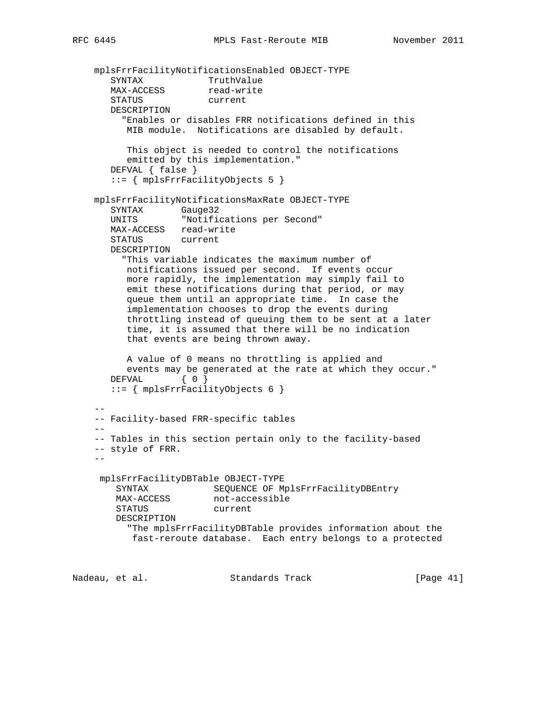```
 mplsFrrFacilityNotificationsEnabled OBJECT-TYPE
SYNTAX TruthValue
MAX-ACCESS read-write
       STATUS current
       DESCRIPTION
         "Enables or disables FRR notifications defined in this
          MIB module. Notifications are disabled by default.
          This object is needed to control the notifications
          emitted by this implementation."
       DEFVAL { false }
       ::= { mplsFrrFacilityObjects 5 }
    mplsFrrFacilityNotificationsMaxRate OBJECT-TYPE
 SYNTAX Gauge32
 UNITS "Notifications per Second"
      MAX-ACCESS read-write<br>STATUS current
      STATUS
       DESCRIPTION
         "This variable indicates the maximum number of
          notifications issued per second. If events occur
          more rapidly, the implementation may simply fail to
          emit these notifications during that period, or may
          queue them until an appropriate time. In case the
          implementation chooses to drop the events during
          throttling instead of queuing them to be sent at a later
          time, it is assumed that there will be no indication
          that events are being thrown away.
          A value of 0 means no throttling is applied and
          events may be generated at the rate at which they occur."
      DEFVAL { 0 }
       ::= { mplsFrrFacilityObjects 6 }
 --
    -- Facility-based FRR-specific tables
 --
     -- Tables in this section pertain only to the facility-based
     -- style of FRR.
 --
     mplsFrrFacilityDBTable OBJECT-TYPE
        SYNTAX SEQUENCE OF MplsFrrFacilityDBEntry
       MAX-ACCESS not-accessible<br>computers
        STATUS current
        DESCRIPTION
          "The mplsFrrFacilityDBTable provides information about the
           fast-reroute database. Each entry belongs to a protected
Nadeau, et al. Standards Track [Page 41]
```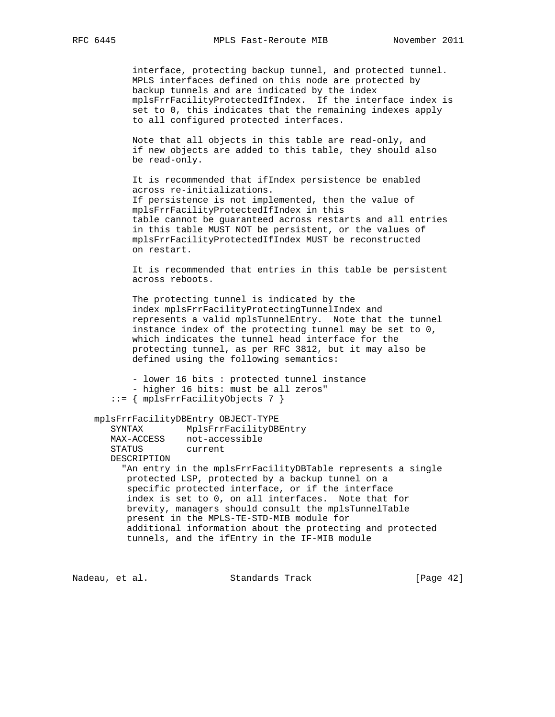interface, protecting backup tunnel, and protected tunnel. MPLS interfaces defined on this node are protected by backup tunnels and are indicated by the index mplsFrrFacilityProtectedIfIndex. If the interface index is set to 0, this indicates that the remaining indexes apply to all configured protected interfaces.

 Note that all objects in this table are read-only, and if new objects are added to this table, they should also be read-only.

 It is recommended that ifIndex persistence be enabled across re-initializations. If persistence is not implemented, then the value of mplsFrrFacilityProtectedIfIndex in this table cannot be guaranteed across restarts and all entries in this table MUST NOT be persistent, or the values of mplsFrrFacilityProtectedIfIndex MUST be reconstructed on restart.

 It is recommended that entries in this table be persistent across reboots.

 The protecting tunnel is indicated by the index mplsFrrFacilityProtectingTunnelIndex and represents a valid mplsTunnelEntry. Note that the tunnel instance index of the protecting tunnel may be set to 0, which indicates the tunnel head interface for the protecting tunnel, as per RFC 3812, but it may also be defined using the following semantics:

```
 - lower 16 bits : protected tunnel instance
       - higher 16 bits: must be all zeros"
    ::= { mplsFrrFacilityObjects 7 }
 mplsFrrFacilityDBEntry OBJECT-TYPE
   SYNTAX MplsFrrFacilityDBEntry
  MAX-ACCESS not-accessible
   STATUS current
   DESCRIPTION
      "An entry in the mplsFrrFacilityDBTable represents a single
      protected LSP, protected by a backup tunnel on a
      specific protected interface, or if the interface
```
 index is set to 0, on all interfaces. Note that for brevity, managers should consult the mplsTunnelTable present in the MPLS-TE-STD-MIB module for additional information about the protecting and protected tunnels, and the ifEntry in the IF-MIB module

Nadeau, et al. Standards Track [Page 42]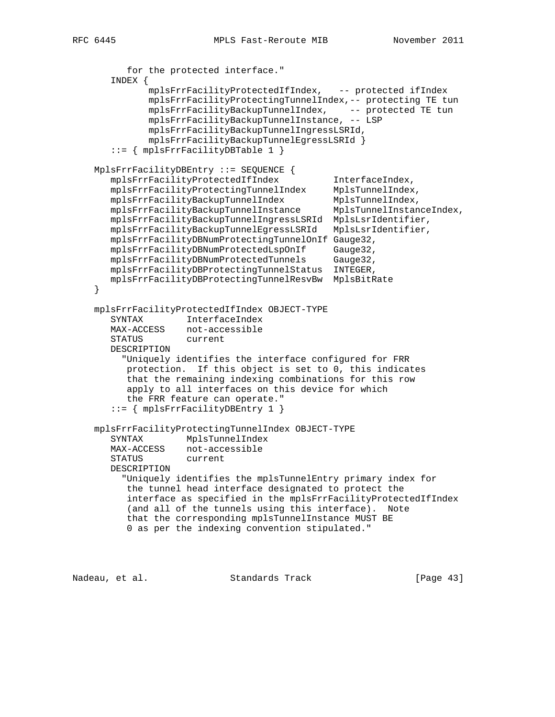```
 for the protected interface."
       INDEX {
              mplsFrrFacilityProtectedIfIndex, -- protected ifIndex
              mplsFrrFacilityProtectingTunnelIndex,-- protecting TE tun
 mplsFrrFacilityBackupTunnelIndex, -- protected TE tun
 mplsFrrFacilityBackupTunnelInstance, -- LSP
              mplsFrrFacilityBackupTunnelIngressLSRId,
              mplsFrrFacilityBackupTunnelEgressLSRId }
       ::= { mplsFrrFacilityDBTable 1 }
    MplsFrrFacilityDBEntry ::= SEQUENCE {
       mplsFrrFacilityProtectedIfIndex InterfaceIndex,
 mplsFrrFacilityProtectingTunnelIndex MplsTunnelIndex,
 mplsFrrFacilityBackupTunnelIndex MplsTunnelIndex,
 mplsFrrFacilityBackupTunnelInstance MplsTunnelInstanceIndex,
       mplsFrrFacilityBackupTunnelIngressLSRId MplsLsrIdentifier,
       mplsFrrFacilityBackupTunnelEgressLSRId MplsLsrIdentifier,
       mplsFrrFacilityDBNumProtectingTunnelOnIf Gauge32,
       mplsFrrFacilityDBNumProtectedLspOnIf Gauge32,
       mplsFrrFacilityDBNumProtectedTunnels Gauge32,
       mplsFrrFacilityDBProtectingTunnelStatus INTEGER,
       mplsFrrFacilityDBProtectingTunnelResvBw MplsBitRate
    }
    mplsFrrFacilityProtectedIfIndex OBJECT-TYPE
 SYNTAX InterfaceIndex
 MAX-ACCESS not-accessible
       STATUS current
       DESCRIPTION
         "Uniquely identifies the interface configured for FRR
          protection. If this object is set to 0, this indicates
          that the remaining indexing combinations for this row
          apply to all interfaces on this device for which
          the FRR feature can operate."
       ::= { mplsFrrFacilityDBEntry 1 }
    mplsFrrFacilityProtectingTunnelIndex OBJECT-TYPE
       SYNTAX MplsTunnelIndex
       MAX-ACCESS not-accessible
       STATUS current
       DESCRIPTION
         "Uniquely identifies the mplsTunnelEntry primary index for
          the tunnel head interface designated to protect the
          interface as specified in the mplsFrrFacilityProtectedIfIndex
          (and all of the tunnels using this interface). Note
          that the corresponding mplsTunnelInstance MUST BE
          0 as per the indexing convention stipulated."
```
Nadeau, et al. Standards Track [Page 43]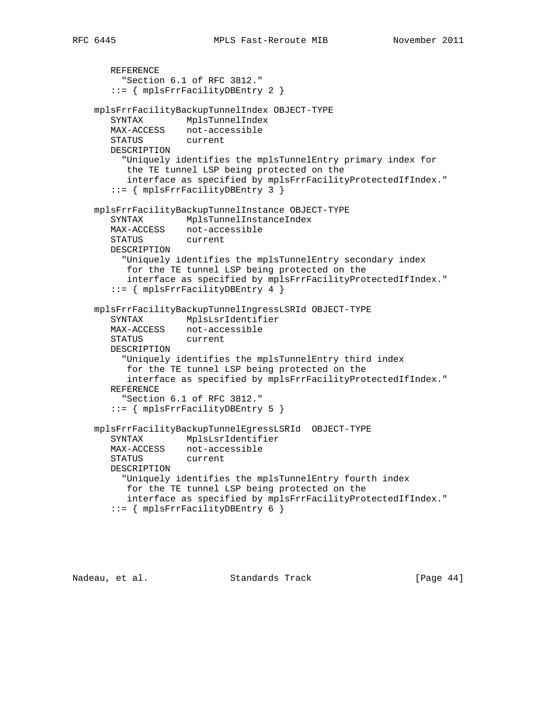```
 REFERENCE
         "Section 6.1 of RFC 3812."
       ::= { mplsFrrFacilityDBEntry 2 }
    mplsFrrFacilityBackupTunnelIndex OBJECT-TYPE
       SYNTAX MplsTunnelIndex
       MAX-ACCESS not-accessible
       STATUS current
       DESCRIPTION
         "Uniquely identifies the mplsTunnelEntry primary index for
          the TE tunnel LSP being protected on the
          interface as specified by mplsFrrFacilityProtectedIfIndex."
       ::= { mplsFrrFacilityDBEntry 3 }
    mplsFrrFacilityBackupTunnelInstance OBJECT-TYPE
       SYNTAX MplsTunnelInstanceIndex
      MAX-ACCESS not-accessible<br>STATUS current
      STATUS
       DESCRIPTION
         "Uniquely identifies the mplsTunnelEntry secondary index
          for the TE tunnel LSP being protected on the
          interface as specified by mplsFrrFacilityProtectedIfIndex."
       ::= { mplsFrrFacilityDBEntry 4 }
    mplsFrrFacilityBackupTunnelIngressLSRId OBJECT-TYPE
 SYNTAX MplsLsrIdentifier
 MAX-ACCESS not-accessible
       STATUS current
       DESCRIPTION
         "Uniquely identifies the mplsTunnelEntry third index
          for the TE tunnel LSP being protected on the
          interface as specified by mplsFrrFacilityProtectedIfIndex."
       REFERENCE
         "Section 6.1 of RFC 3812."
       ::= { mplsFrrFacilityDBEntry 5 }
    mplsFrrFacilityBackupTunnelEgressLSRId OBJECT-TYPE
       SYNTAX MplsLsrIdentifier
       MAX-ACCESS not-accessible
       STATUS current
       DESCRIPTION
         "Uniquely identifies the mplsTunnelEntry fourth index
          for the TE tunnel LSP being protected on the
          interface as specified by mplsFrrFacilityProtectedIfIndex."
       ::= { mplsFrrFacilityDBEntry 6 }
```
Nadeau, et al. Standards Track [Page 44]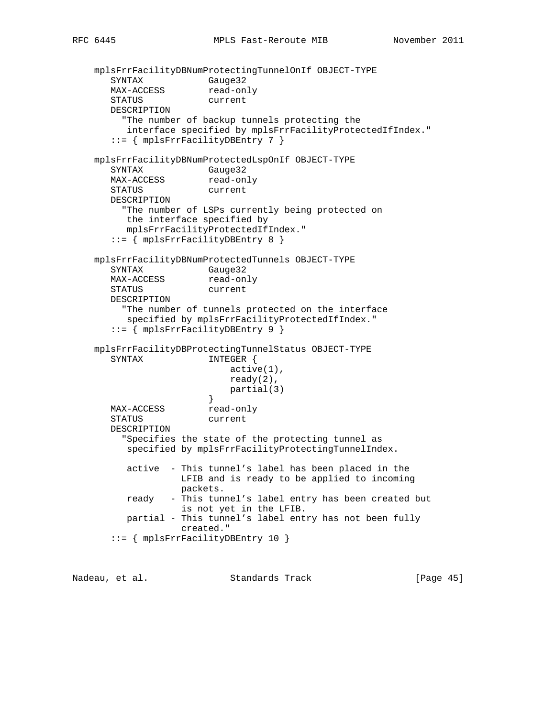```
 mplsFrrFacilityDBNumProtectingTunnelOnIf OBJECT-TYPE
SYNTAX Gauge32
MAX-ACCESS read-only
       STATUS current
       DESCRIPTION
         "The number of backup tunnels protecting the
         interface specified by mplsFrrFacilityProtectedIfIndex."
       ::= { mplsFrrFacilityDBEntry 7 }
    mplsFrrFacilityDBNumProtectedLspOnIf OBJECT-TYPE
       SYNTAX Gauge32
     MAX-ACCESS read-only
       STATUS current
       DESCRIPTION
         "The number of LSPs currently being protected on
         the interface specified by
         mplsFrrFacilityProtectedIfIndex."
       ::= { mplsFrrFacilityDBEntry 8 }
    mplsFrrFacilityDBNumProtectedTunnels OBJECT-TYPE
       SYNTAX Gauge32
     MAX-ACCESS read-only
      STATUS current
       DESCRIPTION
         "The number of tunnels protected on the interface
         specified by mplsFrrFacilityProtectedIfIndex."
       ::= { mplsFrrFacilityDBEntry 9 }
    mplsFrrFacilityDBProtectingTunnelStatus OBJECT-TYPE
      SYNTAX INTEGER {
                          active(1),
                          ready(2),
                          partial(3)
 }
      MAX-ACCESS read-only
       STATUS current
       DESCRIPTION
         "Specifies the state of the protecting tunnel as
         specified by mplsFrrFacilityProtectingTunnelIndex.
         active - This tunnel's label has been placed in the
                  LFIB and is ready to be applied to incoming
                  packets.
         ready - This tunnel's label entry has been created but
                  is not yet in the LFIB.
         partial - This tunnel's label entry has not been fully
                  created."
       ::= { mplsFrrFacilityDBEntry 10 }
```
Nadeau, et al. Standards Track [Page 45]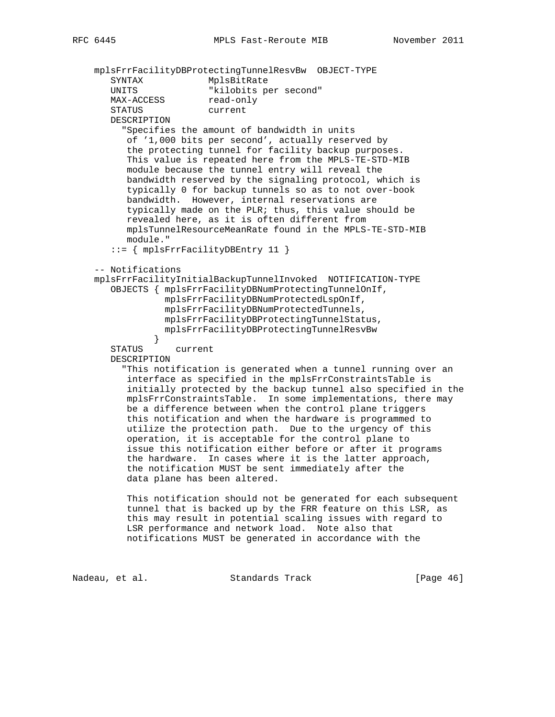mplsFrrFacilityDBProtectingTunnelResvBw OBJECT-TYPE SYNTAX MplsBitRate<br>
INITS "kilobits pe UNITS "kilobits per second" MAX-ACCESS read-only STATUS current DESCRIPTION "Specifies the amount of bandwidth in units of '1,000 bits per second', actually reserved by the protecting tunnel for facility backup purposes. This value is repeated here from the MPLS-TE-STD-MIB module because the tunnel entry will reveal the bandwidth reserved by the signaling protocol, which is typically 0 for backup tunnels so as to not over-book bandwidth. However, internal reservations are typically made on the PLR; thus, this value should be revealed here, as it is often different from mplsTunnelResourceMeanRate found in the MPLS-TE-STD-MIB module." ::= { mplsFrrFacilityDBEntry 11 } -- Notifications mplsFrrFacilityInitialBackupTunnelInvoked NOTIFICATION-TYPE OBJECTS { mplsFrrFacilityDBNumProtectingTunnelOnIf, mplsFrrFacilityDBNumProtectedLspOnIf, mplsFrrFacilityDBNumProtectedTunnels, mplsFrrFacilityDBProtectingTunnelStatus, mplsFrrFacilityDBProtectingTunnelResvBw } STATUS current DESCRIPTION "This notification is generated when a tunnel running over an interface as specified in the mplsFrrConstraintsTable is initially protected by the backup tunnel also specified in the mplsFrrConstraintsTable. In some implementations, there may be a difference between when the control plane triggers this notification and when the hardware is programmed to utilize the protection path. Due to the urgency of this operation, it is acceptable for the control plane to issue this notification either before or after it programs the hardware. In cases where it is the latter approach, the notification MUST be sent immediately after the data plane has been altered. This notification should not be generated for each subsequent tunnel that is backed up by the FRR feature on this LSR, as this may result in potential scaling issues with regard to

 LSR performance and network load. Note also that notifications MUST be generated in accordance with the

Nadeau, et al. Standards Track [Page 46]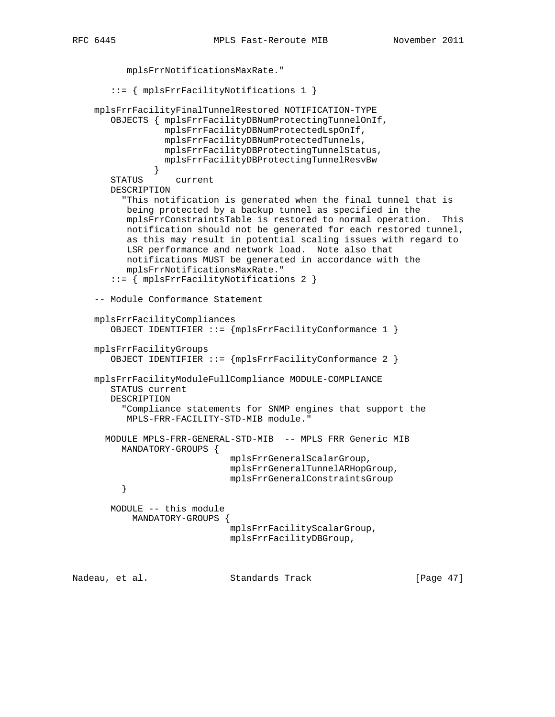```
 mplsFrrNotificationsMaxRate."
        ::= { mplsFrrFacilityNotifications 1 }
     mplsFrrFacilityFinalTunnelRestored NOTIFICATION-TYPE
        OBJECTS { mplsFrrFacilityDBNumProtectingTunnelOnIf,
                  mplsFrrFacilityDBNumProtectedLspOnIf,
                  mplsFrrFacilityDBNumProtectedTunnels,
                  mplsFrrFacilityDBProtectingTunnelStatus,
                  mplsFrrFacilityDBProtectingTunnelResvBw
 }
        STATUS current
        DESCRIPTION
          "This notification is generated when the final tunnel that is
           being protected by a backup tunnel as specified in the
           mplsFrrConstraintsTable is restored to normal operation. This
          notification should not be generated for each restored tunnel,
           as this may result in potential scaling issues with regard to
          LSR performance and network load. Note also that
          notifications MUST be generated in accordance with the
           mplsFrrNotificationsMaxRate."
        ::= { mplsFrrFacilityNotifications 2 }
     -- Module Conformance Statement
     mplsFrrFacilityCompliances
        OBJECT IDENTIFIER ::= {mplsFrrFacilityConformance 1 }
     mplsFrrFacilityGroups
        OBJECT IDENTIFIER ::= {mplsFrrFacilityConformance 2 }
     mplsFrrFacilityModuleFullCompliance MODULE-COMPLIANCE
        STATUS current
        DESCRIPTION
          "Compliance statements for SNMP engines that support the
          MPLS-FRR-FACILITY-STD-MIB module."
       MODULE MPLS-FRR-GENERAL-STD-MIB -- MPLS FRR Generic MIB
          MANDATORY-GROUPS {
                              mplsFrrGeneralScalarGroup,
                              mplsFrrGeneralTunnelARHopGroup,
         mplsFrrGeneralConstraintsGroup<br>}
 }
        MODULE -- this module
           MANDATORY-GROUPS {
                              mplsFrrFacilityScalarGroup,
                              mplsFrrFacilityDBGroup,
Nadeau, et al.                 Standards Track                 [Paqe 47]
```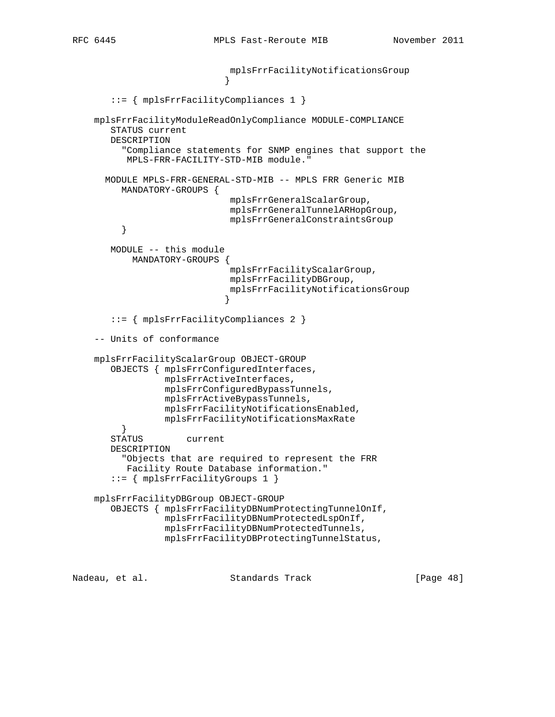```
 mplsFrrFacilityNotificationsGroup
 }
       ::= { mplsFrrFacilityCompliances 1 }
    mplsFrrFacilityModuleReadOnlyCompliance MODULE-COMPLIANCE
       STATUS current
       DESCRIPTION
         "Compliance statements for SNMP engines that support the
          MPLS-FRR-FACILITY-STD-MIB module."
      MODULE MPLS-FRR-GENERAL-STD-MIB -- MPLS FRR Generic MIB
         MANDATORY-GROUPS {
                             mplsFrrGeneralScalarGroup,
                             mplsFrrGeneralTunnelARHopGroup,
                             mplsFrrGeneralConstraintsGroup
         }
       MODULE -- this module
           MANDATORY-GROUPS {
                             mplsFrrFacilityScalarGroup,
                             mplsFrrFacilityDBGroup,
                             mplsFrrFacilityNotificationsGroup
 }
       ::= { mplsFrrFacilityCompliances 2 }
    -- Units of conformance
    mplsFrrFacilityScalarGroup OBJECT-GROUP
       OBJECTS { mplsFrrConfiguredInterfaces,
                 mplsFrrActiveInterfaces,
                 mplsFrrConfiguredBypassTunnels,
                 mplsFrrActiveBypassTunnels,
                 mplsFrrFacilityNotificationsEnabled,
                 mplsFrrFacilityNotificationsMaxRate
         }
       STATUS current
       DESCRIPTION
         "Objects that are required to represent the FRR
          Facility Route Database information."
       ::= { mplsFrrFacilityGroups 1 }
    mplsFrrFacilityDBGroup OBJECT-GROUP
       OBJECTS { mplsFrrFacilityDBNumProtectingTunnelOnIf,
                 mplsFrrFacilityDBNumProtectedLspOnIf,
                 mplsFrrFacilityDBNumProtectedTunnels,
                 mplsFrrFacilityDBProtectingTunnelStatus,
```
Nadeau, et al. Standards Track [Paqe 48]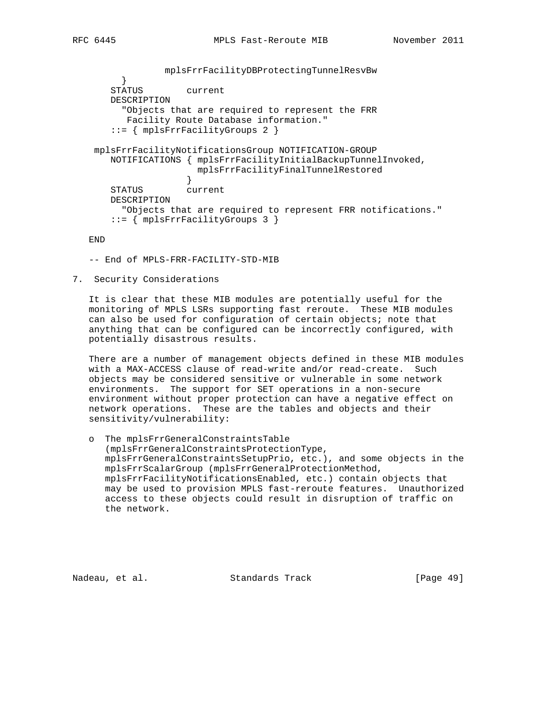```
 mplsFrrFacilityDBProtectingTunnelResvBw
 }
       STATUS current
       DESCRIPTION
         "Objects that are required to represent the FRR
         Facility Route Database information."
       ::= { mplsFrrFacilityGroups 2 }
    mplsFrrFacilityNotificationsGroup NOTIFICATION-GROUP
       NOTIFICATIONS { mplsFrrFacilityInitialBackupTunnelInvoked,
                      mplsFrrFacilityFinalTunnelRestored
 }
       STATUS current
       DESCRIPTION
         "Objects that are required to represent FRR notifications."
       ::= { mplsFrrFacilityGroups 3 }
```
END

-- End of MPLS-FRR-FACILITY-STD-MIB

7. Security Considerations

 It is clear that these MIB modules are potentially useful for the monitoring of MPLS LSRs supporting fast reroute. These MIB modules can also be used for configuration of certain objects; note that anything that can be configured can be incorrectly configured, with potentially disastrous results.

 There are a number of management objects defined in these MIB modules with a MAX-ACCESS clause of read-write and/or read-create. Such objects may be considered sensitive or vulnerable in some network environments. The support for SET operations in a non-secure environment without proper protection can have a negative effect on network operations. These are the tables and objects and their sensitivity/vulnerability:

 o The mplsFrrGeneralConstraintsTable (mplsFrrGeneralConstraintsProtectionType, mplsFrrGeneralConstraintsSetupPrio, etc.), and some objects in the mplsFrrScalarGroup (mplsFrrGeneralProtectionMethod, mplsFrrFacilityNotificationsEnabled, etc.) contain objects that may be used to provision MPLS fast-reroute features. Unauthorized access to these objects could result in disruption of traffic on the network.

Nadeau, et al. Standards Track [Page 49]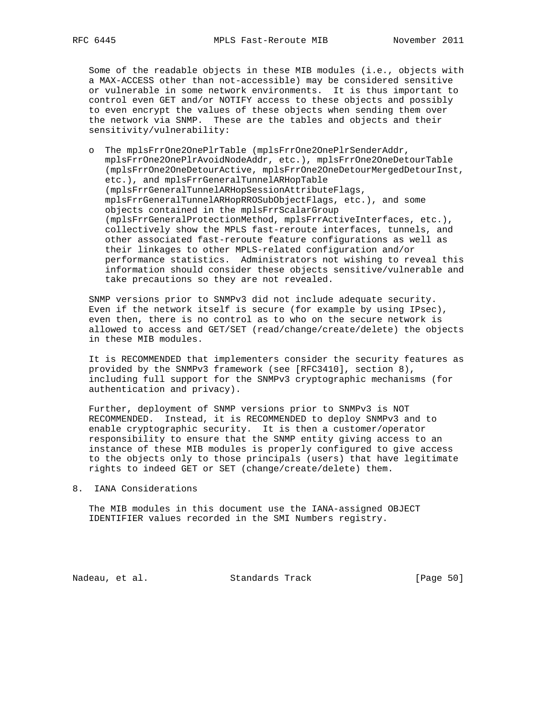Some of the readable objects in these MIB modules (i.e., objects with a MAX-ACCESS other than not-accessible) may be considered sensitive or vulnerable in some network environments. It is thus important to control even GET and/or NOTIFY access to these objects and possibly to even encrypt the values of these objects when sending them over the network via SNMP. These are the tables and objects and their sensitivity/vulnerability:

 o The mplsFrrOne2OnePlrTable (mplsFrrOne2OnePlrSenderAddr, mplsFrrOne2OnePlrAvoidNodeAddr, etc.), mplsFrrOne2OneDetourTable (mplsFrrOne2OneDetourActive, mplsFrrOne2OneDetourMergedDetourInst, etc.), and mplsFrrGeneralTunnelARHopTable (mplsFrrGeneralTunnelARHopSessionAttributeFlags, mplsFrrGeneralTunnelARHopRROSubObjectFlags, etc.), and some objects contained in the mplsFrrScalarGroup (mplsFrrGeneralProtectionMethod, mplsFrrActiveInterfaces, etc.), collectively show the MPLS fast-reroute interfaces, tunnels, and other associated fast-reroute feature configurations as well as their linkages to other MPLS-related configuration and/or performance statistics. Administrators not wishing to reveal this information should consider these objects sensitive/vulnerable and take precautions so they are not revealed.

 SNMP versions prior to SNMPv3 did not include adequate security. Even if the network itself is secure (for example by using IPsec), even then, there is no control as to who on the secure network is allowed to access and GET/SET (read/change/create/delete) the objects in these MIB modules.

 It is RECOMMENDED that implementers consider the security features as provided by the SNMPv3 framework (see [RFC3410], section 8), including full support for the SNMPv3 cryptographic mechanisms (for authentication and privacy).

 Further, deployment of SNMP versions prior to SNMPv3 is NOT RECOMMENDED. Instead, it is RECOMMENDED to deploy SNMPv3 and to enable cryptographic security. It is then a customer/operator responsibility to ensure that the SNMP entity giving access to an instance of these MIB modules is properly configured to give access to the objects only to those principals (users) that have legitimate rights to indeed GET or SET (change/create/delete) them.

8. IANA Considerations

 The MIB modules in this document use the IANA-assigned OBJECT IDENTIFIER values recorded in the SMI Numbers registry.

Nadeau, et al. Standards Track [Page 50]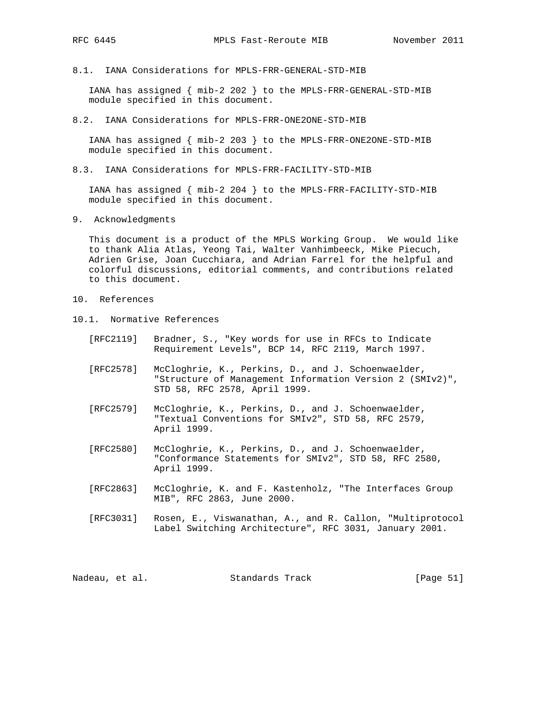8.1. IANA Considerations for MPLS-FRR-GENERAL-STD-MIB

 IANA has assigned { mib-2 202 } to the MPLS-FRR-GENERAL-STD-MIB module specified in this document.

8.2. IANA Considerations for MPLS-FRR-ONE2ONE-STD-MIB

 IANA has assigned { mib-2 203 } to the MPLS-FRR-ONE2ONE-STD-MIB module specified in this document.

8.3. IANA Considerations for MPLS-FRR-FACILITY-STD-MIB

 IANA has assigned { mib-2 204 } to the MPLS-FRR-FACILITY-STD-MIB module specified in this document.

9. Acknowledgments

 This document is a product of the MPLS Working Group. We would like to thank Alia Atlas, Yeong Tai, Walter Vanhimbeeck, Mike Piecuch, Adrien Grise, Joan Cucchiara, and Adrian Farrel for the helpful and colorful discussions, editorial comments, and contributions related to this document.

- 10. References
- 10.1. Normative References
	- [RFC2119] Bradner, S., "Key words for use in RFCs to Indicate Requirement Levels", BCP 14, RFC 2119, March 1997.
	- [RFC2578] McCloghrie, K., Perkins, D., and J. Schoenwaelder, "Structure of Management Information Version 2 (SMIv2)", STD 58, RFC 2578, April 1999.
	- [RFC2579] McCloghrie, K., Perkins, D., and J. Schoenwaelder, "Textual Conventions for SMIv2", STD 58, RFC 2579, April 1999.
	- [RFC2580] McCloghrie, K., Perkins, D., and J. Schoenwaelder, "Conformance Statements for SMIv2", STD 58, RFC 2580, April 1999.
	- [RFC2863] McCloghrie, K. and F. Kastenholz, "The Interfaces Group MIB", RFC 2863, June 2000.
	- [RFC3031] Rosen, E., Viswanathan, A., and R. Callon, "Multiprotocol Label Switching Architecture", RFC 3031, January 2001.

Nadeau, et al. Standards Track [Page 51]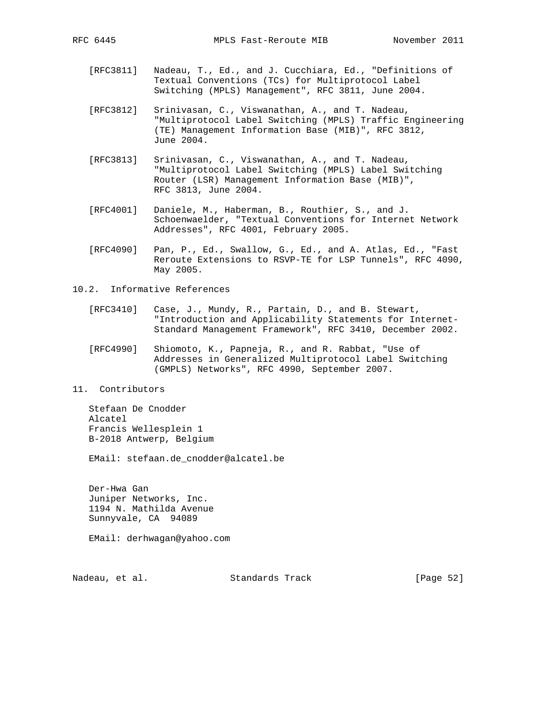- [RFC3811] Nadeau, T., Ed., and J. Cucchiara, Ed., "Definitions of Textual Conventions (TCs) for Multiprotocol Label Switching (MPLS) Management", RFC 3811, June 2004.
- [RFC3812] Srinivasan, C., Viswanathan, A., and T. Nadeau, "Multiprotocol Label Switching (MPLS) Traffic Engineering (TE) Management Information Base (MIB)", RFC 3812, June 2004.
- [RFC3813] Srinivasan, C., Viswanathan, A., and T. Nadeau, "Multiprotocol Label Switching (MPLS) Label Switching Router (LSR) Management Information Base (MIB)", RFC 3813, June 2004.
- [RFC4001] Daniele, M., Haberman, B., Routhier, S., and J. Schoenwaelder, "Textual Conventions for Internet Network Addresses", RFC 4001, February 2005.
- [RFC4090] Pan, P., Ed., Swallow, G., Ed., and A. Atlas, Ed., "Fast Reroute Extensions to RSVP-TE for LSP Tunnels", RFC 4090, May 2005.
- 10.2. Informative References
	- [RFC3410] Case, J., Mundy, R., Partain, D., and B. Stewart, "Introduction and Applicability Statements for Internet- Standard Management Framework", RFC 3410, December 2002.
	- [RFC4990] Shiomoto, K., Papneja, R., and R. Rabbat, "Use of Addresses in Generalized Multiprotocol Label Switching (GMPLS) Networks", RFC 4990, September 2007.
- 11. Contributors

 Stefaan De Cnodder Alcatel Francis Wellesplein 1 B-2018 Antwerp, Belgium

EMail: stefaan.de\_cnodder@alcatel.be

 Der-Hwa Gan Juniper Networks, Inc. 1194 N. Mathilda Avenue Sunnyvale, CA 94089

EMail: derhwagan@yahoo.com

Nadeau, et al. Standards Track [Page 52]